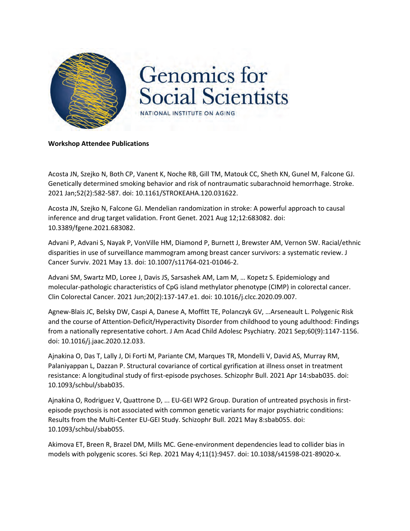

## **Workshop Attendee Publications**

Acosta JN, Szejko N, Both CP, Vanent K, Noche RB, Gill TM, Matouk CC, Sheth KN, Gunel M, Falcone GJ. Genetically determined smoking behavior and risk of nontraumatic subarachnoid hemorrhage. Stroke. 2021 Jan;52(2):582-587. doi: 10.1161/STROKEAHA.120.031622.

Acosta JN, Szejko N, Falcone GJ. Mendelian randomization in stroke: A powerful approach to causal inference and drug target validation. Front Genet. 2021 Aug 12;12:683082. doi: 10.3389/fgene.2021.683082.

Advani P, Advani S, Nayak P, VonVille HM, Diamond P, Burnett J, Brewster AM, Vernon SW. Racial/ethnic disparities in use of surveillance mammogram among breast cancer survivors: a systematic review. J Cancer Surviv. 2021 May 13. doi: 10.1007/s11764-021-01046-2.

Advani SM, Swartz MD, Loree J, Davis JS, Sarsashek AM, Lam M, … Kopetz S. Epidemiology and molecular-pathologic characteristics of CpG island methylator phenotype (CIMP) in colorectal cancer. Clin Colorectal Cancer. 2021 Jun;20(2):137-147.e1. doi: 10.1016/j.clcc.2020.09.007.

Agnew-Blais JC, Belsky DW, Caspi A, Danese A, Moffitt TE, Polanczyk GV, …Arseneault L. Polygenic Risk and the course of Attention-Deficit/Hyperactivity Disorder from childhood to young adulthood: Findings from a nationally representative cohort. J Am Acad Child Adolesc Psychiatry. 2021 Sep;60(9):1147-1156. doi: 10.1016/j.jaac.2020.12.033.

Ajnakina O, Das T, Lally J, Di Forti M, Pariante CM, Marques TR, Mondelli V, David AS, Murray RM, Palaniyappan L, Dazzan P. Structural covariance of cortical gyrification at illness onset in treatment resistance: A longitudinal study of first-episode psychoses. Schizophr Bull. 2021 Apr 14:sbab035. doi: 10.1093/schbul/sbab035.

Ajnakina O, Rodriguez V, Quattrone D, ... EU-GEI WP2 Group. Duration of untreated psychosis in firstepisode psychosis is not associated with common genetic variants for major psychiatric conditions: Results from the Multi-Center EU-GEI Study. Schizophr Bull. 2021 May 8:sbab055. doi: 10.1093/schbul/sbab055.

Akimova ET, Breen R, Brazel DM, Mills MC. Gene-environment dependencies lead to collider bias in models with polygenic scores. Sci Rep. 2021 May 4;11(1):9457. doi: 10.1038/s41598-021-89020-x.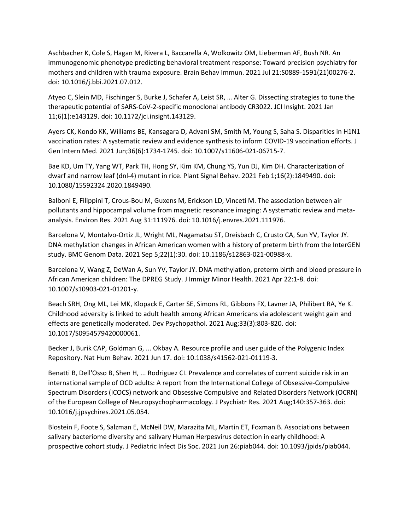Aschbacher K, Cole S, Hagan M, Rivera L, Baccarella A, Wolkowitz OM, Lieberman AF, Bush NR. An immunogenomic phenotype predicting behavioral treatment response: Toward precision psychiatry for mothers and children with trauma exposure. Brain Behav Immun. 2021 Jul 21:S0889-1591(21)00276-2. doi: 10.1016/j.bbi.2021.07.012.

Atyeo C, Slein MD, Fischinger S, Burke J, Schafer A, Leist SR, … Alter G. Dissecting strategies to tune the therapeutic potential of SARS-CoV-2-specific monoclonal antibody CR3022. JCI Insight. 2021 Jan 11;6(1):e143129. doi: 10.1172/jci.insight.143129.

Ayers CK, Kondo KK, Williams BE, Kansagara D, Advani SM, Smith M, Young S, Saha S. Disparities in H1N1 vaccination rates: A systematic review and evidence synthesis to inform COVID-19 vaccination efforts. J Gen Intern Med. 2021 Jun;36(6):1734-1745. doi: 10.1007/s11606-021-06715-7.

Bae KD, Um TY, Yang WT, Park TH, Hong SY, Kim KM, Chung YS, Yun DJ, Kim DH. Characterization of dwarf and narrow leaf (dnl-4) mutant in rice. Plant Signal Behav. 2021 Feb 1;16(2):1849490. doi: 10.1080/15592324.2020.1849490.

Balboni E, Filippini T, Crous-Bou M, Guxens M, Erickson LD, Vinceti M. The association between air pollutants and hippocampal volume from magnetic resonance imaging: A systematic review and metaanalysis. Environ Res. 2021 Aug 31:111976. doi: 10.1016/j.envres.2021.111976.

Barcelona V, Montalvo-Ortiz JL, Wright ML, Nagamatsu ST, Dreisbach C, Crusto CA, Sun YV, Taylor JY. DNA methylation changes in African American women with a history of preterm birth from the InterGEN study. BMC Genom Data. 2021 Sep 5;22(1):30. doi: 10.1186/s12863-021-00988-x.

Barcelona V, Wang Z, DeWan A, Sun YV, Taylor JY. DNA methylation, preterm birth and blood pressure in African American children: The DPREG Study. J Immigr Minor Health. 2021 Apr 22:1-8. doi: 10.1007/s10903-021-01201-y.

Beach SRH, Ong ML, Lei MK, Klopack E, Carter SE, Simons RL, Gibbons FX, Lavner JA, Philibert RA, Ye K. Childhood adversity is linked to adult health among African Americans via adolescent weight gain and effects are genetically moderated. Dev Psychopathol. 2021 Aug;33(3):803-820. doi: 10.1017/S0954579420000061.

Becker J, Burik CAP, Goldman G, ... Okbay A. Resource profile and user guide of the Polygenic Index Repository. Nat Hum Behav. 2021 Jun 17. doi: 10.1038/s41562-021-01119-3.

Benatti B, Dell'Osso B, Shen H, ... Rodriguez CI. Prevalence and correlates of current suicide risk in an international sample of OCD adults: A report from the International College of Obsessive-Compulsive Spectrum Disorders (ICOCS) network and Obsessive Compulsive and Related Disorders Network (OCRN) of the European College of Neuropsychopharmacology. J Psychiatr Res. 2021 Aug;140:357-363. doi: 10.1016/j.jpsychires.2021.05.054.

Blostein F, Foote S, Salzman E, McNeil DW, Marazita ML, Martin ET, Foxman B. Associations between salivary bacteriome diversity and salivary Human Herpesvirus detection in early childhood: A prospective cohort study. J Pediatric Infect Dis Soc. 2021 Jun 26:piab044. doi: 10.1093/jpids/piab044.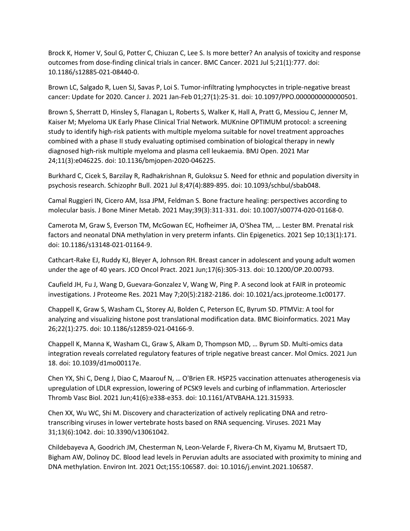Brock K, Homer V, Soul G, Potter C, Chiuzan C, Lee S. Is more better? An analysis of toxicity and response outcomes from dose-finding clinical trials in cancer. BMC Cancer. 2021 Jul 5;21(1):777. doi: 10.1186/s12885-021-08440-0.

Brown LC, Salgado R, Luen SJ, Savas P, Loi S. Tumor-infiltrating lymphocyctes in triple-negative breast cancer: Update for 2020. Cancer J. 2021 Jan-Feb 01;27(1):25-31. doi: 10.1097/PPO.0000000000000501.

Brown S, Sherratt D, Hinsley S, Flanagan L, Roberts S, Walker K, Hall A, Pratt G, Messiou C, Jenner M, Kaiser M; Myeloma UK Early Phase Clinical Trial Network. MUKnine OPTIMUM protocol: a screening study to identify high-risk patients with multiple myeloma suitable for novel treatment approaches combined with a phase II study evaluating optimised combination of biological therapy in newly diagnosed high-risk multiple myeloma and plasma cell leukaemia. BMJ Open. 2021 Mar 24;11(3):e046225. doi: 10.1136/bmjopen-2020-046225.

Burkhard C, Cicek S, Barzilay R, Radhakrishnan R, Guloksuz S. Need for ethnic and population diversity in psychosis research. Schizophr Bull. 2021 Jul 8;47(4):889-895. doi: 10.1093/schbul/sbab048.

Camal Ruggieri IN, Cicero AM, Issa JPM, Feldman S. Bone fracture healing: perspectives according to molecular basis. J Bone Miner Metab. 2021 May;39(3):311-331. doi: 10.1007/s00774-020-01168-0.

Camerota M, Graw S, Everson TM, McGowan EC, Hofheimer JA, O'Shea TM, … Lester BM. Prenatal risk factors and neonatal DNA methylation in very preterm infants. Clin Epigenetics. 2021 Sep 10;13(1):171. doi: 10.1186/s13148-021-01164-9.

Cathcart-Rake EJ, Ruddy KJ, Bleyer A, Johnson RH. Breast cancer in adolescent and young adult women under the age of 40 years. JCO Oncol Pract. 2021 Jun;17(6):305-313. doi: 10.1200/OP.20.00793.

Caufield JH, Fu J, Wang D, Guevara-Gonzalez V, Wang W, Ping P. A second look at FAIR in proteomic investigations. J Proteome Res. 2021 May 7;20(5):2182-2186. doi: 10.1021/acs.jproteome.1c00177.

Chappell K, Graw S, Washam CL, Storey AJ, Bolden C, Peterson EC, Byrum SD. PTMViz: A tool for analyzing and visualizing histone post translational modification data. BMC Bioinformatics. 2021 May 26;22(1):275. doi: 10.1186/s12859-021-04166-9.

Chappell K, Manna K, Washam CL, Graw S, Alkam D, Thompson MD, … Byrum SD. Multi-omics data integration reveals correlated regulatory features of triple negative breast cancer. Mol Omics. 2021 Jun 18. doi: 10.1039/d1mo00117e.

Chen YX, Shi C, Deng J, Diao C, Maarouf N, … O'Brien ER. HSP25 vaccination attenuates atherogenesis via upregulation of LDLR expression, lowering of PCSK9 levels and curbing of inflammation. Arterioscler Thromb Vasc Biol. 2021 Jun;41(6):e338-e353. doi: 10.1161/ATVBAHA.121.315933.

Chen XX, Wu WC, Shi M. Discovery and characterization of actively replicating DNA and retrotranscribing viruses in lower vertebrate hosts based on RNA sequencing. Viruses. 2021 May 31;13(6):1042. doi: 10.3390/v13061042.

Childebayeva A, Goodrich JM, Chesterman N, Leon-Velarde F, Rivera-Ch M, Kiyamu M, Brutsaert TD, Bigham AW, Dolinoy DC. Blood lead levels in Peruvian adults are associated with proximity to mining and DNA methylation. Environ Int. 2021 Oct;155:106587. doi: 10.1016/j.envint.2021.106587.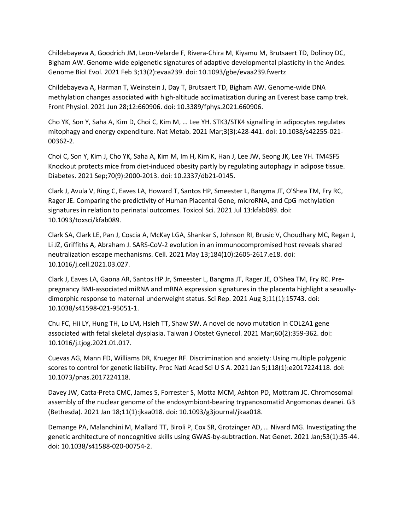Childebayeva A, Goodrich JM, Leon-Velarde F, Rivera-Chira M, Kiyamu M, Brutsaert TD, Dolinoy DC, Bigham AW. Genome-wide epigenetic signatures of adaptive developmental plasticity in the Andes. Genome Biol Evol. 2021 Feb 3;13(2):evaa239. doi: 10.1093/gbe/evaa239.fwertz

Childebayeva A, Harman T, Weinstein J, Day T, Brutsaert TD, Bigham AW. Genome-wide DNA methylation changes associated with high-altitude acclimatization during an Everest base camp trek. Front Physiol. 2021 Jun 28;12:660906. doi: 10.3389/fphys.2021.660906.

Cho YK, Son Y, Saha A, Kim D, Choi C, Kim M, … Lee YH. STK3/STK4 signalling in adipocytes regulates mitophagy and energy expenditure. Nat Metab. 2021 Mar;3(3):428-441. doi: 10.1038/s42255-021- 00362-2.

Choi C, Son Y, Kim J, Cho YK, Saha A, Kim M, Im H, Kim K, Han J, Lee JW, Seong JK, Lee YH. TM4SF5 Knockout protects mice from diet-induced obesity partly by regulating autophagy in adipose tissue. Diabetes. 2021 Sep;70(9):2000-2013. doi: 10.2337/db21-0145.

Clark J, Avula V, Ring C, Eaves LA, Howard T, Santos HP, Smeester L, Bangma JT, O'Shea TM, Fry RC, Rager JE. Comparing the predictivity of Human Placental Gene, microRNA, and CpG methylation signatures in relation to perinatal outcomes. Toxicol Sci. 2021 Jul 13:kfab089. doi: 10.1093/toxsci/kfab089.

Clark SA, Clark LE, Pan J, Coscia A, McKay LGA, Shankar S, Johnson RI, Brusic V, Choudhary MC, Regan J, Li JZ, Griffiths A, Abraham J. SARS-CoV-2 evolution in an immunocompromised host reveals shared neutralization escape mechanisms. Cell. 2021 May 13;184(10):2605-2617.e18. doi: 10.1016/j.cell.2021.03.027.

Clark J, Eaves LA, Gaona AR, Santos HP Jr, Smeester L, Bangma JT, Rager JE, O'Shea TM, Fry RC. Prepregnancy BMI-associated miRNA and mRNA expression signatures in the placenta highlight a sexuallydimorphic response to maternal underweight status. Sci Rep. 2021 Aug 3;11(1):15743. doi: 10.1038/s41598-021-95051-1.

Chu FC, Hii LY, Hung TH, Lo LM, Hsieh TT, Shaw SW. A novel de novo mutation in COL2A1 gene associated with fetal skeletal dysplasia. Taiwan J Obstet Gynecol. 2021 Mar;60(2):359-362. doi: 10.1016/j.tjog.2021.01.017.

Cuevas AG, Mann FD, Williams DR, Krueger RF. Discrimination and anxiety: Using multiple polygenic scores to control for genetic liability. Proc Natl Acad Sci U S A. 2021 Jan 5;118(1):e2017224118. doi: 10.1073/pnas.2017224118.

Davey JW, Catta-Preta CMC, James S, Forrester S, Motta MCM, Ashton PD, Mottram JC. Chromosomal assembly of the nuclear genome of the endosymbiont-bearing trypanosomatid Angomonas deanei. G3 (Bethesda). 2021 Jan 18;11(1):jkaa018. doi: 10.1093/g3journal/jkaa018.

Demange PA, Malanchini M, Mallard TT, Biroli P, Cox SR, Grotzinger AD, … Nivard MG. Investigating the genetic architecture of noncognitive skills using GWAS-by-subtraction. Nat Genet. 2021 Jan;53(1):35-44. doi: 10.1038/s41588-020-00754-2.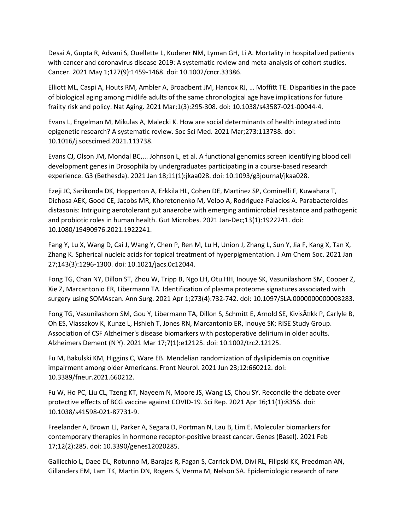Desai A, Gupta R, Advani S, Ouellette L, Kuderer NM, Lyman GH, Li A. Mortality in hospitalized patients with cancer and coronavirus disease 2019: A systematic review and meta-analysis of cohort studies. Cancer. 2021 May 1;127(9):1459-1468. doi: 10.1002/cncr.33386.

Elliott ML, Caspi A, Houts RM, Ambler A, Broadbent JM, Hancox RJ, … Moffitt TE. Disparities in the pace of biological aging among midlife adults of the same chronological age have implications for future frailty risk and policy. Nat Aging. 2021 Mar;1(3):295-308. doi: 10.1038/s43587-021-00044-4.

Evans L, Engelman M, Mikulas A, Malecki K. How are social determinants of health integrated into epigenetic research? A systematic review. Soc Sci Med. 2021 Mar;273:113738. doi: 10.1016/j.socscimed.2021.113738.

Evans CJ, Olson JM, Mondal BC,... Johnson L, et al. A functional genomics screen identifying blood cell development genes in Drosophila by undergraduates participating in a course-based research experience. G3 (Bethesda). 2021 Jan 18;11(1):jkaa028. doi: 10.1093/g3journal/jkaa028.

Ezeji JC, Sarikonda DK, Hopperton A, Erkkila HL, Cohen DE, Martinez SP, Cominelli F, Kuwahara T, Dichosa AEK, Good CE, Jacobs MR, Khoretonenko M, Veloo A, Rodriguez-Palacios A. Parabacteroides distasonis: Intriguing aerotolerant gut anaerobe with emerging antimicrobial resistance and pathogenic and probiotic roles in human health. Gut Microbes. 2021 Jan-Dec;13(1):1922241. doi: 10.1080/19490976.2021.1922241.

Fang Y, Lu X, Wang D, Cai J, Wang Y, Chen P, Ren M, Lu H, Union J, Zhang L, Sun Y, Jia F, Kang X, Tan X, Zhang K. Spherical nucleic acids for topical treatment of hyperpigmentation. J Am Chem Soc. 2021 Jan 27;143(3):1296-1300. doi: 10.1021/jacs.0c12044.

Fong TG, Chan NY, Dillon ST, Zhou W, Tripp B, Ngo LH, Otu HH, Inouye SK, Vasunilashorn SM, Cooper Z, Xie Z, Marcantonio ER, Libermann TA. Identification of plasma proteome signatures associated with surgery using SOMAscan. Ann Surg. 2021 Apr 1;273(4):732-742. doi: 10.1097/SLA.0000000000003283.

Fong TG, Vasunilashorn SM, Gou Y, Libermann TA, Dillon S, Schmitt E, Arnold SE, Kivisäkk P, Carlyle B, Oh ES, Vlassakov K, Kunze L, Hshieh T, Jones RN, Marcantonio ER, Inouye SK; RISE Study Group. Association of CSF Alzheimer's disease biomarkers with postoperative delirium in older adults. Alzheimers Dement (N Y). 2021 Mar 17;7(1):e12125. doi: 10.1002/trc2.12125.

Fu M, Bakulski KM, Higgins C, Ware EB. Mendelian randomization of dyslipidemia on cognitive impairment among older Americans. Front Neurol. 2021 Jun 23;12:660212. doi: 10.3389/fneur.2021.660212.

Fu W, Ho PC, Liu CL, Tzeng KT, Nayeem N, Moore JS, Wang LS, Chou SY. Reconcile the debate over protective effects of BCG vaccine against COVID-19. Sci Rep. 2021 Apr 16;11(1):8356. doi: 10.1038/s41598-021-87731-9.

Freelander A, Brown LJ, Parker A, Segara D, Portman N, Lau B, Lim E. Molecular biomarkers for contemporary therapies in hormone receptor-positive breast cancer. Genes (Basel). 2021 Feb 17;12(2):285. doi: 10.3390/genes12020285.

Gallicchio L, Daee DL, Rotunno M, Barajas R, Fagan S, Carrick DM, Divi RL, Filipski KK, Freedman AN, Gillanders EM, Lam TK, Martin DN, Rogers S, Verma M, Nelson SA. Epidemiologic research of rare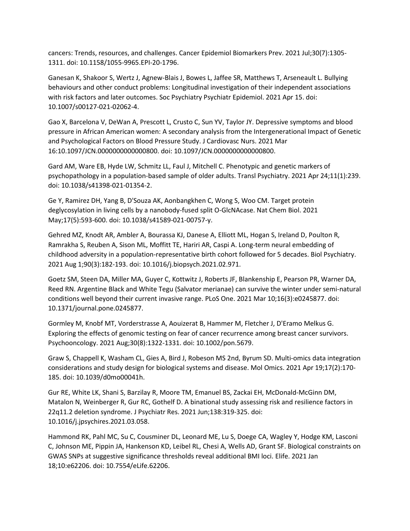cancers: Trends, resources, and challenges. Cancer Epidemiol Biomarkers Prev. 2021 Jul;30(7):1305- 1311. doi: 10.1158/1055-9965.EPI-20-1796.

Ganesan K, Shakoor S, Wertz J, Agnew-Blais J, Bowes L, Jaffee SR, Matthews T, Arseneault L. Bullying behaviours and other conduct problems: Longitudinal investigation of their independent associations with risk factors and later outcomes. Soc Psychiatry Psychiatr Epidemiol. 2021 Apr 15. doi: 10.1007/s00127-021-02062-4.

Gao X, Barcelona V, DeWan A, Prescott L, Crusto C, Sun YV, Taylor JY. Depressive symptoms and blood pressure in African American women: A secondary analysis from the Intergenerational Impact of Genetic and Psychological Factors on Blood Pressure Study. J Cardiovasc Nurs. 2021 Mar 16:10.1097/JCN.0000000000000800. doi: 10.1097/JCN.0000000000000800.

Gard AM, Ware EB, Hyde LW, Schmitz LL, Faul J, Mitchell C. Phenotypic and genetic markers of psychopathology in a population-based sample of older adults. Transl Psychiatry. 2021 Apr 24;11(1):239. doi: 10.1038/s41398-021-01354-2.

Ge Y, Ramirez DH, Yang B, D'Souza AK, Aonbangkhen C, Wong S, Woo CM. Target protein deglycosylation in living cells by a nanobody-fused split O-GlcNAcase. Nat Chem Biol. 2021 May;17(5):593-600. doi: 10.1038/s41589-021-00757-y.

Gehred MZ, Knodt AR, Ambler A, Bourassa KJ, Danese A, Elliott ML, Hogan S, Ireland D, Poulton R, Ramrakha S, Reuben A, Sison ML, Moffitt TE, Hariri AR, Caspi A. Long-term neural embedding of childhood adversity in a population-representative birth cohort followed for 5 decades. Biol Psychiatry. 2021 Aug 1;90(3):182-193. doi: 10.1016/j.biopsych.2021.02.971.

Goetz SM, Steen DA, Miller MA, Guyer C, Kottwitz J, Roberts JF, Blankenship E, Pearson PR, Warner DA, Reed RN. Argentine Black and White Tegu (Salvator merianae) can survive the winter under semi-natural conditions well beyond their current invasive range. PLoS One. 2021 Mar 10;16(3):e0245877. doi: 10.1371/journal.pone.0245877.

Gormley M, Knobf MT, Vorderstrasse A, Aouizerat B, Hammer M, Fletcher J, D'Eramo Melkus G. Exploring the effects of genomic testing on fear of cancer recurrence among breast cancer survivors. Psychooncology. 2021 Aug;30(8):1322-1331. doi: 10.1002/pon.5679.

Graw S, Chappell K, Washam CL, Gies A, Bird J, Robeson MS 2nd, Byrum SD. Multi-omics data integration considerations and study design for biological systems and disease. Mol Omics. 2021 Apr 19;17(2):170- 185. doi: 10.1039/d0mo00041h.

Gur RE, White LK, Shani S, Barzilay R, Moore TM, Emanuel BS, Zackai EH, McDonald-McGinn DM, Matalon N, Weinberger R, Gur RC, Gothelf D. A binational study assessing risk and resilience factors in 22q11.2 deletion syndrome. J Psychiatr Res. 2021 Jun;138:319-325. doi: 10.1016/j.jpsychires.2021.03.058.

Hammond RK, Pahl MC, Su C, Cousminer DL, Leonard ME, Lu S, Doege CA, Wagley Y, Hodge KM, Lasconi C, Johnson ME, Pippin JA, Hankenson KD, Leibel RL, Chesi A, Wells AD, Grant SF. Biological constraints on GWAS SNPs at suggestive significance thresholds reveal additional BMI loci. Elife. 2021 Jan 18;10:e62206. doi: 10.7554/eLife.62206.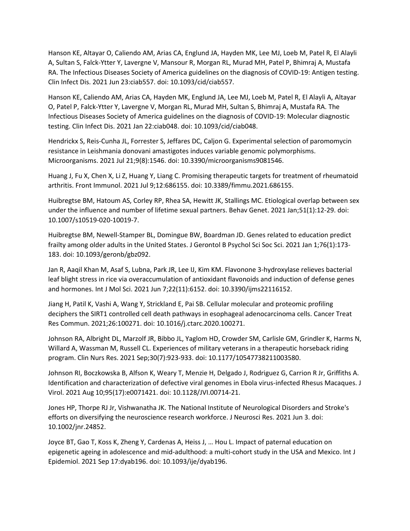Hanson KE, Altayar O, Caliendo AM, Arias CA, Englund JA, Hayden MK, Lee MJ, Loeb M, Patel R, El Alayli A, Sultan S, Falck-Ytter Y, Lavergne V, Mansour R, Morgan RL, Murad MH, Patel P, Bhimraj A, Mustafa RA. The Infectious Diseases Society of America guidelines on the diagnosis of COVID-19: Antigen testing. Clin Infect Dis. 2021 Jun 23:ciab557. doi: 10.1093/cid/ciab557.

Hanson KE, Caliendo AM, Arias CA, Hayden MK, Englund JA, Lee MJ, Loeb M, Patel R, El Alayli A, Altayar O, Patel P, Falck-Ytter Y, Lavergne V, Morgan RL, Murad MH, Sultan S, Bhimraj A, Mustafa RA. The Infectious Diseases Society of America guidelines on the diagnosis of COVID-19: Molecular diagnostic testing. Clin Infect Dis. 2021 Jan 22:ciab048. doi: 10.1093/cid/ciab048.

Hendrickx S, Reis-Cunha JL, Forrester S, Jeffares DC, Caljon G. Experimental selection of paromomycin resistance in Leishmania donovani amastigotes induces variable genomic polymorphisms. Microorganisms. 2021 Jul 21;9(8):1546. doi: 10.3390/microorganisms9081546.

Huang J, Fu X, Chen X, Li Z, Huang Y, Liang C. Promising therapeutic targets for treatment of rheumatoid arthritis. Front Immunol. 2021 Jul 9;12:686155. doi: 10.3389/fimmu.2021.686155.

Huibregtse BM, Hatoum AS, Corley RP, Rhea SA, Hewitt JK, Stallings MC. Etiological overlap between sex under the influence and number of lifetime sexual partners. Behav Genet. 2021 Jan;51(1):12-29. doi: 10.1007/s10519-020-10019-7.

Huibregtse BM, Newell-Stamper BL, Domingue BW, Boardman JD. Genes related to education predict frailty among older adults in the United States. J Gerontol B Psychol Sci Soc Sci. 2021 Jan 1;76(1):173- 183. doi: 10.1093/geronb/gbz092.

Jan R, Aaqil Khan M, Asaf S, Lubna, Park JR, Lee IJ, Kim KM. Flavonone 3-hydroxylase relieves bacterial leaf blight stress in rice via overaccumulation of antioxidant flavonoids and induction of defense genes and hormones. Int J Mol Sci. 2021 Jun 7;22(11):6152. doi: 10.3390/ijms22116152.

Jiang H, Patil K, Vashi A, Wang Y, Strickland E, Pai SB. Cellular molecular and proteomic profiling deciphers the SIRT1 controlled cell death pathways in esophageal adenocarcinoma cells. Cancer Treat Res Commun. 2021;26:100271. doi: 10.1016/j.ctarc.2020.100271.

Johnson RA, Albright DL, Marzolf JR, Bibbo JL, Yaglom HD, Crowder SM, Carlisle GM, Grindler K, Harms N, Willard A, Wassman M, Russell CL. Experiences of military veterans in a therapeutic horseback riding program. Clin Nurs Res. 2021 Sep;30(7):923-933. doi: 10.1177/10547738211003580.

Johnson RI, Boczkowska B, Alfson K, Weary T, Menzie H, Delgado J, Rodriguez G, Carrion R Jr, Griffiths A. Identification and characterization of defective viral genomes in Ebola virus-infected Rhesus Macaques. J Virol. 2021 Aug 10;95(17):e0071421. doi: 10.1128/JVI.00714-21.

Jones HP, Thorpe RJ Jr, Vishwanatha JK. The National Institute of Neurological Disorders and Stroke's efforts on diversifying the neuroscience research workforce. J Neurosci Res. 2021 Jun 3. doi: 10.1002/jnr.24852.

Joyce BT, Gao T, Koss K, Zheng Y, Cardenas A, Heiss J, … Hou L. Impact of paternal education on epigenetic ageing in adolescence and mid-adulthood: a multi-cohort study in the USA and Mexico. Int J Epidemiol. 2021 Sep 17:dyab196. doi: 10.1093/ije/dyab196.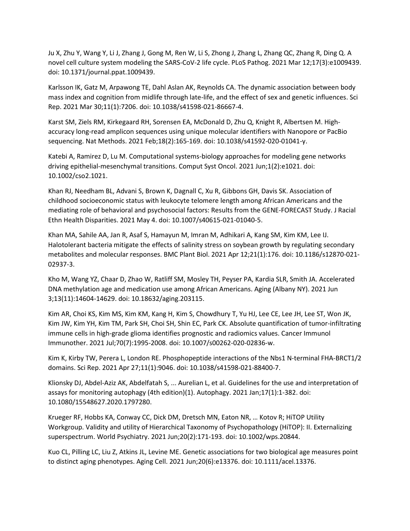Ju X, Zhu Y, Wang Y, Li J, Zhang J, Gong M, Ren W, Li S, Zhong J, Zhang L, Zhang QC, Zhang R, Ding Q. A novel cell culture system modeling the SARS-CoV-2 life cycle. PLoS Pathog. 2021 Mar 12;17(3):e1009439. doi: 10.1371/journal.ppat.1009439.

Karlsson IK, Gatz M, Arpawong TE, Dahl Aslan AK, Reynolds CA. The dynamic association between body mass index and cognition from midlife through late-life, and the effect of sex and genetic influences. Sci Rep. 2021 Mar 30;11(1):7206. doi: 10.1038/s41598-021-86667-4.

Karst SM, Ziels RM, Kirkegaard RH, Sorensen EA, McDonald D, Zhu Q, Knight R, Albertsen M. Highaccuracy long-read amplicon sequences using unique molecular identifiers with Nanopore or PacBio sequencing. Nat Methods. 2021 Feb;18(2):165-169. doi: 10.1038/s41592-020-01041-y.

Katebi A, Ramirez D, Lu M. Computational systems-biology approaches for modeling gene networks driving epithelial-mesenchymal transitions. Comput Syst Oncol. 2021 Jun;1(2):e1021. doi: 10.1002/cso2.1021.

Khan RJ, Needham BL, Advani S, Brown K, Dagnall C, Xu R, Gibbons GH, Davis SK. Association of childhood socioeconomic status with leukocyte telomere length among African Americans and the mediating role of behavioral and psychosocial factors: Results from the GENE-FORECAST Study. J Racial Ethn Health Disparities. 2021 May 4. doi: 10.1007/s40615-021-01040-5.

Khan MA, Sahile AA, Jan R, Asaf S, Hamayun M, Imran M, Adhikari A, Kang SM, Kim KM, Lee IJ. Halotolerant bacteria mitigate the effects of salinity stress on soybean growth by regulating secondary metabolites and molecular responses. BMC Plant Biol. 2021 Apr 12;21(1):176. doi: 10.1186/s12870-021- 02937-3.

Kho M, Wang YZ, Chaar D, Zhao W, Ratliff SM, Mosley TH, Peyser PA, Kardia SLR, Smith JA. Accelerated DNA methylation age and medication use among African Americans. Aging (Albany NY). 2021 Jun 3;13(11):14604-14629. doi: 10.18632/aging.203115.

Kim AR, Choi KS, Kim MS, Kim KM, Kang H, Kim S, Chowdhury T, Yu HJ, Lee CE, Lee JH, Lee ST, Won JK, Kim JW, Kim YH, Kim TM, Park SH, Choi SH, Shin EC, Park CK. Absolute quantification of tumor-infiltrating immune cells in high-grade glioma identifies prognostic and radiomics values. Cancer Immunol Immunother. 2021 Jul;70(7):1995-2008. doi: 10.1007/s00262-020-02836-w.

Kim K, Kirby TW, Perera L, London RE. Phosphopeptide interactions of the Nbs1 N-terminal FHA-BRCT1/2 domains. Sci Rep. 2021 Apr 27;11(1):9046. doi: 10.1038/s41598-021-88400-7.

Klionsky DJ, Abdel-Aziz AK, Abdelfatah S, ... Aurelian L, et al. Guidelines for the use and interpretation of assays for monitoring autophagy (4th edition)(1). Autophagy. 2021 Jan;17(1):1-382. doi: 10.1080/15548627.2020.1797280.

Krueger RF, Hobbs KA, Conway CC, Dick DM, Dretsch MN, Eaton NR, … Kotov R; HiTOP Utility Workgroup. Validity and utility of Hierarchical Taxonomy of Psychopathology (HiTOP): II. Externalizing superspectrum. World Psychiatry. 2021 Jun;20(2):171-193. doi: 10.1002/wps.20844.

Kuo CL, Pilling LC, Liu Z, Atkins JL, Levine ME. Genetic associations for two biological age measures point to distinct aging phenotypes. Aging Cell. 2021 Jun;20(6):e13376. doi: 10.1111/acel.13376.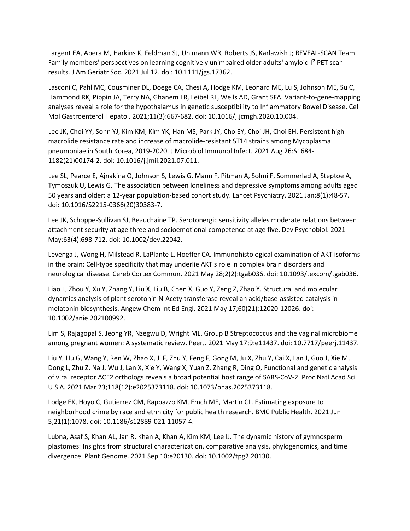Largent EA, Abera M, Harkins K, Feldman SJ, Uhlmann WR, Roberts JS, Karlawish J; REVEAL-SCAN Team. Family members' perspectives on learning cognitively unimpaired older adults' amyloid-Î<sup>2</sup> PET scan results. J Am Geriatr Soc. 2021 Jul 12. doi: 10.1111/jgs.17362.

Lasconi C, Pahl MC, Cousminer DL, Doege CA, Chesi A, Hodge KM, Leonard ME, Lu S, Johnson ME, Su C, Hammond RK, Pippin JA, Terry NA, Ghanem LR, Leibel RL, Wells AD, Grant SFA. Variant-to-gene-mapping analyses reveal a role for the hypothalamus in genetic susceptibility to Inflammatory Bowel Disease. Cell Mol Gastroenterol Hepatol. 2021;11(3):667-682. doi: 10.1016/j.jcmgh.2020.10.004.

Lee JK, Choi YY, Sohn YJ, Kim KM, Kim YK, Han MS, Park JY, Cho EY, Choi JH, Choi EH. Persistent high macrolide resistance rate and increase of macrolide-resistant ST14 strains among Mycoplasma pneumoniae in South Korea, 2019-2020. J Microbiol Immunol Infect. 2021 Aug 26:S1684- 1182(21)00174-2. doi: 10.1016/j.jmii.2021.07.011.

Lee SL, Pearce E, Ajnakina O, Johnson S, Lewis G, Mann F, Pitman A, Solmi F, Sommerlad A, Steptoe A, Tymoszuk U, Lewis G. The association between loneliness and depressive symptoms among adults aged 50 years and older: a 12-year population-based cohort study. Lancet Psychiatry. 2021 Jan;8(1):48-57. doi: 10.1016/S2215-0366(20)30383-7.

Lee JK, Schoppe-Sullivan SJ, Beauchaine TP. Serotonergic sensitivity alleles moderate relations between attachment security at age three and socioemotional competence at age five. Dev Psychobiol. 2021 May;63(4):698-712. doi: 10.1002/dev.22042.

Levenga J, Wong H, Milstead R, LaPlante L, Hoeffer CA. Immunohistological examination of AKT isoforms in the brain: Cell-type specificity that may underlie AKT's role in complex brain disorders and neurological disease. Cereb Cortex Commun. 2021 May 28;2(2):tgab036. doi: 10.1093/texcom/tgab036.

Liao L, Zhou Y, Xu Y, Zhang Y, Liu X, Liu B, Chen X, Guo Y, Zeng Z, Zhao Y. Structural and molecular dynamics analysis of plant serotonin N-Acetyltransferase reveal an acid/base-assisted catalysis in melatonin biosynthesis. Angew Chem Int Ed Engl. 2021 May 17;60(21):12020-12026. doi: 10.1002/anie.202100992.

Lim S, Rajagopal S, Jeong YR, Nzegwu D, Wright ML. Group B Streptococcus and the vaginal microbiome among pregnant women: A systematic review. PeerJ. 2021 May 17;9:e11437. doi: 10.7717/peerj.11437.

Liu Y, Hu G, Wang Y, Ren W, Zhao X, Ji F, Zhu Y, Feng F, Gong M, Ju X, Zhu Y, Cai X, Lan J, Guo J, Xie M, Dong L, Zhu Z, Na J, Wu J, Lan X, Xie Y, Wang X, Yuan Z, Zhang R, Ding Q. Functional and genetic analysis of viral receptor ACE2 orthologs reveals a broad potential host range of SARS-CoV-2. Proc Natl Acad Sci U S A. 2021 Mar 23;118(12):e2025373118. doi: 10.1073/pnas.2025373118.

Lodge EK, Hoyo C, Gutierrez CM, Rappazzo KM, Emch ME, Martin CL. Estimating exposure to neighborhood crime by race and ethnicity for public health research. BMC Public Health. 2021 Jun 5;21(1):1078. doi: 10.1186/s12889-021-11057-4.

Lubna, Asaf S, Khan AL, Jan R, Khan A, Khan A, Kim KM, Lee IJ. The dynamic history of gymnosperm plastomes: Insights from structural characterization, comparative analysis, phylogenomics, and time divergence. Plant Genome. 2021 Sep 10:e20130. doi: 10.1002/tpg2.20130.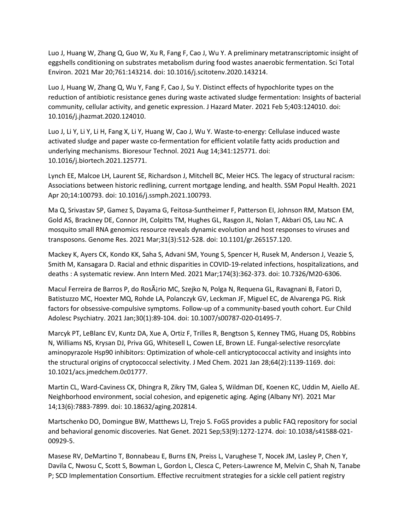Luo J, Huang W, Zhang Q, Guo W, Xu R, Fang F, Cao J, Wu Y. A preliminary metatranscriptomic insight of eggshells conditioning on substrates metabolism during food wastes anaerobic fermentation. Sci Total Environ. 2021 Mar 20;761:143214. doi: 10.1016/j.scitotenv.2020.143214.

Luo J, Huang W, Zhang Q, Wu Y, Fang F, Cao J, Su Y. Distinct effects of hypochlorite types on the reduction of antibiotic resistance genes during waste activated sludge fermentation: Insights of bacterial community, cellular activity, and genetic expression. J Hazard Mater. 2021 Feb 5;403:124010. doi: 10.1016/j.jhazmat.2020.124010.

Luo J, Li Y, Li Y, Li H, Fang X, Li Y, Huang W, Cao J, Wu Y. Waste-to-energy: Cellulase induced waste activated sludge and paper waste co-fermentation for efficient volatile fatty acids production and underlying mechanisms. Bioresour Technol. 2021 Aug 14;341:125771. doi: 10.1016/j.biortech.2021.125771.

Lynch EE, Malcoe LH, Laurent SE, Richardson J, Mitchell BC, Meier HCS. The legacy of structural racism: Associations between historic redlining, current mortgage lending, and health. SSM Popul Health. 2021 Apr 20;14:100793. doi: 10.1016/j.ssmph.2021.100793.

Ma Q, Srivastav SP, Gamez S, Dayama G, Feitosa-Suntheimer F, Patterson EI, Johnson RM, Matson EM, Gold AS, Brackney DE, Connor JH, Colpitts TM, Hughes GL, Rasgon JL, Nolan T, Akbari OS, Lau NC. A mosquito small RNA genomics resource reveals dynamic evolution and host responses to viruses and transposons. Genome Res. 2021 Mar;31(3):512-528. doi: 10.1101/gr.265157.120.

Mackey K, Ayers CK, Kondo KK, Saha S, Advani SM, Young S, Spencer H, Rusek M, Anderson J, Veazie S, Smith M, Kansagara D. Racial and ethnic disparities in COVID-19-related infections, hospitalizations, and deaths : A systematic review. Ann Intern Med. 2021 Mar;174(3):362-373. doi: 10.7326/M20-6306.

Macul Ferreira de Barros P, do RosÂjrio MC, Szejko N, Polga N, Requena GL, Ravagnani B, Fatori D, Batistuzzo MC, Hoexter MQ, Rohde LA, Polanczyk GV, Leckman JF, Miguel EC, de Alvarenga PG. Risk factors for obsessive-compulsive symptoms. Follow-up of a community-based youth cohort. Eur Child Adolesc Psychiatry. 2021 Jan;30(1):89-104. doi: 10.1007/s00787-020-01495-7.

Marcyk PT, LeBlanc EV, Kuntz DA, Xue A, Ortiz F, Trilles R, Bengtson S, Kenney TMG, Huang DS, Robbins N, Williams NS, Krysan DJ, Priva GG, Whitesell L, Cowen LE, Brown LE. Fungal-selective resorcylate aminopyrazole Hsp90 inhibitors: Optimization of whole-cell anticryptococcal activity and insights into the structural origins of cryptococcal selectivity. J Med Chem. 2021 Jan 28;64(2):1139-1169. doi: 10.1021/acs.jmedchem.0c01777.

Martin CL, Ward-Caviness CK, Dhingra R, Zikry TM, Galea S, Wildman DE, Koenen KC, Uddin M, Aiello AE. Neighborhood environment, social cohesion, and epigenetic aging. Aging (Albany NY). 2021 Mar 14;13(6):7883-7899. doi: 10.18632/aging.202814.

Martschenko DO, Domingue BW, Matthews LJ, Trejo S. FoGS provides a public FAQ repository for social and behavioral genomic discoveries. Nat Genet. 2021 Sep;53(9):1272-1274. doi: 10.1038/s41588-021- 00929-5.

Masese RV, DeMartino T, Bonnabeau E, Burns EN, Preiss L, Varughese T, Nocek JM, Lasley P, Chen Y, Davila C, Nwosu C, Scott S, Bowman L, Gordon L, Clesca C, Peters-Lawrence M, Melvin C, Shah N, Tanabe P; SCD Implementation Consortium. Effective recruitment strategies for a sickle cell patient registry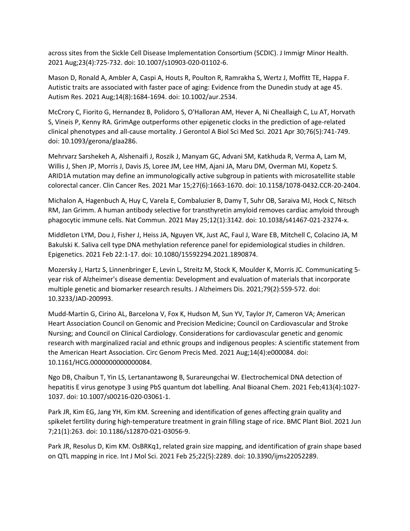across sites from the Sickle Cell Disease Implementation Consortium (SCDIC). J Immigr Minor Health. 2021 Aug;23(4):725-732. doi: 10.1007/s10903-020-01102-6.

Mason D, Ronald A, Ambler A, Caspi A, Houts R, Poulton R, Ramrakha S, Wertz J, Moffitt TE, Happa F. Autistic traits are associated with faster pace of aging: Evidence from the Dunedin study at age 45. Autism Res. 2021 Aug;14(8):1684-1694. doi: 10.1002/aur.2534.

McCrory C, Fiorito G, Hernandez B, Polidoro S, O'Halloran AM, Hever A, Ni Cheallaigh C, Lu AT, Horvath S, Vineis P, Kenny RA. GrimAge outperforms other epigenetic clocks in the prediction of age-related clinical phenotypes and all-cause mortality. J Gerontol A Biol Sci Med Sci. 2021 Apr 30;76(5):741-749. doi: 10.1093/gerona/glaa286.

Mehrvarz Sarshekeh A, Alshenaifi J, Roszik J, Manyam GC, Advani SM, Katkhuda R, Verma A, Lam M, Willis J, Shen JP, Morris J, Davis JS, Loree JM, Lee HM, Ajani JA, Maru DM, Overman MJ, Kopetz S. ARID1A mutation may define an immunologically active subgroup in patients with microsatellite stable colorectal cancer. Clin Cancer Res. 2021 Mar 15;27(6):1663-1670. doi: 10.1158/1078-0432.CCR-20-2404.

Michalon A, Hagenbuch A, Huy C, Varela E, Combaluzier B, Damy T, Suhr OB, Saraiva MJ, Hock C, Nitsch RM, Jan Grimm. A human antibody selective for transthyretin amyloid removes cardiac amyloid through phagocytic immune cells. Nat Commun. 2021 May 25;12(1):3142. doi: 10.1038/s41467-021-23274-x.

Middleton LYM, Dou J, Fisher J, Heiss JA, Nguyen VK, Just AC, Faul J, Ware EB, Mitchell C, Colacino JA, M Bakulski K. Saliva cell type DNA methylation reference panel for epidemiological studies in children. Epigenetics. 2021 Feb 22:1-17. doi: 10.1080/15592294.2021.1890874.

Mozersky J, Hartz S, Linnenbringer E, Levin L, Streitz M, Stock K, Moulder K, Morris JC. Communicating 5 year risk of Alzheimer's disease dementia: Development and evaluation of materials that incorporate multiple genetic and biomarker research results. J Alzheimers Dis. 2021;79(2):559-572. doi: 10.3233/JAD-200993.

Mudd-Martin G, Cirino AL, Barcelona V, Fox K, Hudson M, Sun YV, Taylor JY, Cameron VA; American Heart Association Council on Genomic and Precision Medicine; Council on Cardiovascular and Stroke Nursing; and Council on Clinical Cardiology. Considerations for cardiovascular genetic and genomic research with marginalized racial and ethnic groups and indigenous peoples: A scientific statement from the American Heart Association. Circ Genom Precis Med. 2021 Aug;14(4):e000084. doi: 10.1161/HCG.0000000000000084.

Ngo DB, Chaibun T, Yin LS, Lertanantawong B, Surareungchai W. Electrochemical DNA detection of hepatitis E virus genotype 3 using PbS quantum dot labelling. Anal Bioanal Chem. 2021 Feb;413(4):1027- 1037. doi: 10.1007/s00216-020-03061-1.

Park JR, Kim EG, Jang YH, Kim KM. Screening and identification of genes affecting grain quality and spikelet fertility during high-temperature treatment in grain filling stage of rice. BMC Plant Biol. 2021 Jun 7;21(1):263. doi: 10.1186/s12870-021-03056-9.

Park JR, Resolus D, Kim KM. OsBRKq1, related grain size mapping, and identification of grain shape based on QTL mapping in rice. Int J Mol Sci. 2021 Feb 25;22(5):2289. doi: 10.3390/ijms22052289.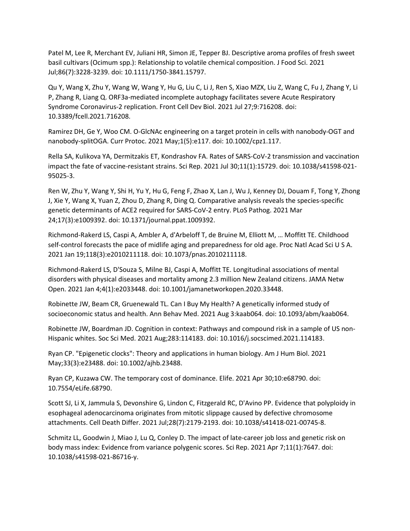Patel M, Lee R, Merchant EV, Juliani HR, Simon JE, Tepper BJ. Descriptive aroma profiles of fresh sweet basil cultivars (Ocimum spp.): Relationship to volatile chemical composition. J Food Sci. 2021 Jul;86(7):3228-3239. doi: 10.1111/1750-3841.15797.

Qu Y, Wang X, Zhu Y, Wang W, Wang Y, Hu G, Liu C, Li J, Ren S, Xiao MZX, Liu Z, Wang C, Fu J, Zhang Y, Li P, Zhang R, Liang Q. ORF3a-mediated incomplete autophagy facilitates severe Acute Respiratory Syndrome Coronavirus-2 replication. Front Cell Dev Biol. 2021 Jul 27;9:716208. doi: 10.3389/fcell.2021.716208.

Ramirez DH, Ge Y, Woo CM. O-GlcNAc engineering on a target protein in cells with nanobody-OGT and nanobody-splitOGA. Curr Protoc. 2021 May;1(5):e117. doi: 10.1002/cpz1.117.

Rella SA, Kulikova YA, Dermitzakis ET, Kondrashov FA. Rates of SARS-CoV-2 transmission and vaccination impact the fate of vaccine-resistant strains. Sci Rep. 2021 Jul 30;11(1):15729. doi: 10.1038/s41598-021- 95025-3.

Ren W, Zhu Y, Wang Y, Shi H, Yu Y, Hu G, Feng F, Zhao X, Lan J, Wu J, Kenney DJ, Douam F, Tong Y, Zhong J, Xie Y, Wang X, Yuan Z, Zhou D, Zhang R, Ding Q. Comparative analysis reveals the species-specific genetic determinants of ACE2 required for SARS-CoV-2 entry. PLoS Pathog. 2021 Mar 24;17(3):e1009392. doi: 10.1371/journal.ppat.1009392.

Richmond-Rakerd LS, Caspi A, Ambler A, d'Arbeloff T, de Bruine M, Elliott M, … Moffitt TE. Childhood self-control forecasts the pace of midlife aging and preparedness for old age. Proc Natl Acad Sci U S A. 2021 Jan 19;118(3):e2010211118. doi: 10.1073/pnas.2010211118.

Richmond-Rakerd LS, D'Souza S, Milne BJ, Caspi A, Moffitt TE. Longitudinal associations of mental disorders with physical diseases and mortality among 2.3 million New Zealand citizens. JAMA Netw Open. 2021 Jan 4;4(1):e2033448. doi: 10.1001/jamanetworkopen.2020.33448.

Robinette JW, Beam CR, Gruenewald TL. Can I Buy My Health? A genetically informed study of socioeconomic status and health. Ann Behav Med. 2021 Aug 3:kaab064. doi: 10.1093/abm/kaab064.

Robinette JW, Boardman JD. Cognition in context: Pathways and compound risk in a sample of US non-Hispanic whites. Soc Sci Med. 2021 Aug;283:114183. doi: 10.1016/j.socscimed.2021.114183.

Ryan CP. "Epigenetic clocks": Theory and applications in human biology. Am J Hum Biol. 2021 May;33(3):e23488. doi: 10.1002/ajhb.23488.

Ryan CP, Kuzawa CW. The temporary cost of dominance. Elife. 2021 Apr 30;10:e68790. doi: 10.7554/eLife.68790.

Scott SJ, Li X, Jammula S, Devonshire G, Lindon C, Fitzgerald RC, D'Avino PP. Evidence that polyploidy in esophageal adenocarcinoma originates from mitotic slippage caused by defective chromosome attachments. Cell Death Differ. 2021 Jul;28(7):2179-2193. doi: 10.1038/s41418-021-00745-8.

Schmitz LL, Goodwin J, Miao J, Lu Q, Conley D. The impact of late-career job loss and genetic risk on body mass index: Evidence from variance polygenic scores. Sci Rep. 2021 Apr 7;11(1):7647. doi: 10.1038/s41598-021-86716-y.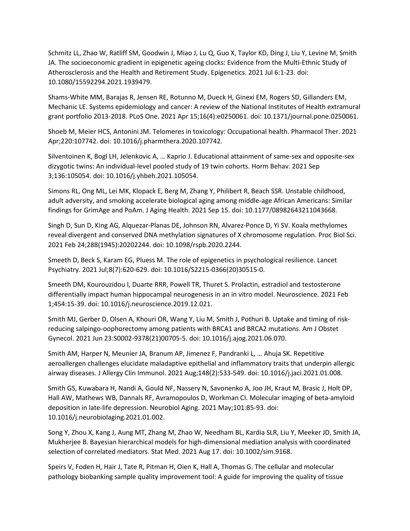Schmitz LL, Zhao W, Ratliff SM, Goodwin J, Miao J, Lu Q, Guo X, Taylor KD, Ding J, Liu Y, Levine M, Smith JA. The socioeconomic gradient in epigenetic ageing clocks: Evidence from the Multi-Ethnic Study of Atherosclerosis and the Health and Retirement Study. Epigenetics. 2021 Jul 6:1-23. doi: 10.1080/15592294.2021.1939479.

Shams-White MM, Barajas R, Jensen RE, Rotunno M, Dueck H, Ginexi EM, Rogers SD, Gillanders EM, Mechanic LE. Systems epidemiology and cancer: A review of the National Institutes of Health extramural grant portfolio 2013-2018. PLoS One. 2021 Apr 15;16(4):e0250061. doi: 10.1371/journal.pone.0250061.

Shoeb M, Meier HCS, Antonini JM. Telomeres in toxicology: Occupational health. Pharmacol Ther. 2021 Apr;220:107742. doi: 10.1016/j.pharmthera.2020.107742.

Silventoinen K, Bogl LH, Jelenkovic A, … Kaprio J. Educational attainment of same-sex and opposite-sex dizygotic twins: An individual-level pooled study of 19 twin cohorts. Horm Behav. 2021 Sep 3;136:105054. doi: 10.1016/j.yhbeh.2021.105054.

Simons RL, Ong ML, Lei MK, Klopack E, Berg M, Zhang Y, Philibert R, Beach SSR. Unstable childhood, adult adversity, and smoking accelerate biological aging among middle-age African Americans: Similar findings for GrimAge and PoAm. J Aging Health. 2021 Sep 15. doi: 10.1177/08982643211043668.

Singh D, Sun D, King AG, Alquezar-Planas DE, Johnson RN, Alvarez-Ponce D, Yi SV. Koala methylomes reveal divergent and conserved DNA methylation signatures of X chromosome regulation. Proc Biol Sci. 2021 Feb 24;288(1945):20202244. doi: 10.1098/rspb.2020.2244.

Smeeth D, Beck S, Karam EG, Pluess M. The role of epigenetics in psychological resilience. Lancet Psychiatry. 2021 Jul;8(7):620-629. doi: 10.1016/S2215-0366(20)30515-0.

Smeeth DM, Kourouzidou I, Duarte RRR, Powell TR, Thuret S. Prolactin, estradiol and testosterone differentially impact human hippocampal neurogenesis in an in vitro model. Neuroscience. 2021 Feb 1;454:15-39. doi: 10.1016/j.neuroscience.2019.12.021.

Smith MJ, Gerber D, Olsen A, Khouri OR, Wang Y, Liu M, Smith J, Pothuri B. Uptake and timing of riskreducing salpingo-oophorectomy among patients with BRCA1 and BRCA2 mutations. Am J Obstet Gynecol. 2021 Jun 23:S0002-9378(21)00705-5. doi: 10.1016/j.ajog.2021.06.070.

Smith AM, Harper N, Meunier JA, Branum AP, Jimenez F, Pandranki L, … Ahuja SK. Repetitive aeroallergen challenges elucidate maladaptive epithelial and inflammatory traits that underpin allergic airway diseases. J Allergy Clin Immunol. 2021 Aug;148(2):533-549. doi: 10.1016/j.jaci.2021.01.008.

Smith GS, Kuwabara H, Nandi A, Gould NF, Nassery N, Savonenko A, Joo JH, Kraut M, Brasic J, Holt DP, Hall AW, Mathews WB, Dannals RF, Avramopoulos D, Workman CI. Molecular imaging of beta-amyloid deposition in late-life depression. Neurobiol Aging. 2021 May;101:85-93. doi: 10.1016/j.neurobiolaging.2021.01.002.

Song Y, Zhou X, Kang J, Aung MT, Zhang M, Zhao W, Needham BL, Kardia SLR, Liu Y, Meeker JD, Smith JA, Mukherjee B. Bayesian hierarchical models for high-dimensional mediation analysis with coordinated selection of correlated mediators. Stat Med. 2021 Aug 17. doi: 10.1002/sim.9168.

Speirs V, Foden H, Hair J, Tate R, Pitman H, Oien K, Hall A, Thomas G. The cellular and molecular pathology biobanking sample quality improvement tool: A guide for improving the quality of tissue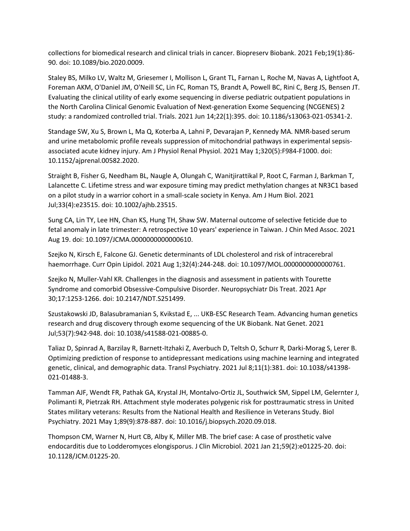collections for biomedical research and clinical trials in cancer. Biopreserv Biobank. 2021 Feb;19(1):86- 90. doi: 10.1089/bio.2020.0009.

Staley BS, Milko LV, Waltz M, Griesemer I, Mollison L, Grant TL, Farnan L, Roche M, Navas A, Lightfoot A, Foreman AKM, O'Daniel JM, O'Neill SC, Lin FC, Roman TS, Brandt A, Powell BC, Rini C, Berg JS, Bensen JT. Evaluating the clinical utility of early exome sequencing in diverse pediatric outpatient populations in the North Carolina Clinical Genomic Evaluation of Next-generation Exome Sequencing (NCGENES) 2 study: a randomized controlled trial. Trials. 2021 Jun 14;22(1):395. doi: 10.1186/s13063-021-05341-2.

Standage SW, Xu S, Brown L, Ma Q, Koterba A, Lahni P, Devarajan P, Kennedy MA. NMR-based serum and urine metabolomic profile reveals suppression of mitochondrial pathways in experimental sepsisassociated acute kidney injury. Am J Physiol Renal Physiol. 2021 May 1;320(5):F984-F1000. doi: 10.1152/ajprenal.00582.2020.

Straight B, Fisher G, Needham BL, Naugle A, Olungah C, Wanitjirattikal P, Root C, Farman J, Barkman T, Lalancette C. Lifetime stress and war exposure timing may predict methylation changes at NR3C1 based on a pilot study in a warrior cohort in a small-scale society in Kenya. Am J Hum Biol. 2021 Jul;33(4):e23515. doi: 10.1002/ajhb.23515.

Sung CA, Lin TY, Lee HN, Chan KS, Hung TH, Shaw SW. Maternal outcome of selective feticide due to fetal anomaly in late trimester: A retrospective 10 years' experience in Taiwan. J Chin Med Assoc. 2021 Aug 19. doi: 10.1097/JCMA.0000000000000610.

Szejko N, Kirsch E, Falcone GJ. Genetic determinants of LDL cholesterol and risk of intracerebral haemorrhage. Curr Opin Lipidol. 2021 Aug 1;32(4):244-248. doi: 10.1097/MOL.0000000000000761.

Szejko N, Muller-Vahl KR. Challenges in the diagnosis and assessment in patients with Tourette Syndrome and comorbid Obsessive-Compulsive Disorder. Neuropsychiatr Dis Treat. 2021 Apr 30;17:1253-1266. doi: 10.2147/NDT.S251499.

Szustakowski JD, Balasubramanian S, Kvikstad E, ... UKB-ESC Research Team. Advancing human genetics research and drug discovery through exome sequencing of the UK Biobank. Nat Genet. 2021 Jul;53(7):942-948. doi: 10.1038/s41588-021-00885-0.

Taliaz D, Spinrad A, Barzilay R, Barnett-Itzhaki Z, Averbuch D, Teltsh O, Schurr R, Darki-Morag S, Lerer B. Optimizing prediction of response to antidepressant medications using machine learning and integrated genetic, clinical, and demographic data. Transl Psychiatry. 2021 Jul 8;11(1):381. doi: 10.1038/s41398- 021-01488-3.

Tamman AJF, Wendt FR, Pathak GA, Krystal JH, Montalvo-Ortiz JL, Southwick SM, Sippel LM, Gelernter J, Polimanti R, Pietrzak RH. Attachment style moderates polygenic risk for posttraumatic stress in United States military veterans: Results from the National Health and Resilience in Veterans Study. Biol Psychiatry. 2021 May 1;89(9):878-887. doi: 10.1016/j.biopsych.2020.09.018.

Thompson CM, Warner N, Hurt CB, Alby K, Miller MB. The brief case: A case of prosthetic valve endocarditis due to Lodderomyces elongisporus. J Clin Microbiol. 2021 Jan 21;59(2):e01225-20. doi: 10.1128/JCM.01225-20.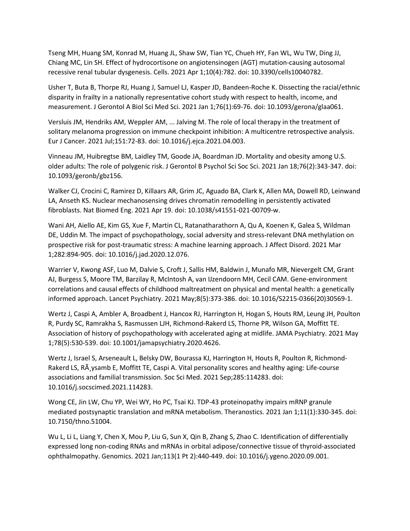Tseng MH, Huang SM, Konrad M, Huang JL, Shaw SW, Tian YC, Chueh HY, Fan WL, Wu TW, Ding JJ, Chiang MC, Lin SH. Effect of hydrocortisone on angiotensinogen (AGT) mutation-causing autosomal recessive renal tubular dysgenesis. Cells. 2021 Apr 1;10(4):782. doi: 10.3390/cells10040782.

Usher T, Buta B, Thorpe RJ, Huang J, Samuel LJ, Kasper JD, Bandeen-Roche K. Dissecting the racial/ethnic disparity in frailty in a nationally representative cohort study with respect to health, income, and measurement. J Gerontol A Biol Sci Med Sci. 2021 Jan 1;76(1):69-76. doi: 10.1093/gerona/glaa061.

Versluis JM, Hendriks AM, Weppler AM, ... Jalving M. The role of local therapy in the treatment of solitary melanoma progression on immune checkpoint inhibition: A multicentre retrospective analysis. Eur J Cancer. 2021 Jul;151:72-83. doi: 10.1016/j.ejca.2021.04.003.

Vinneau JM, Huibregtse BM, Laidley TM, Goode JA, Boardman JD. Mortality and obesity among U.S. older adults: The role of polygenic risk. J Gerontol B Psychol Sci Soc Sci. 2021 Jan 18;76(2):343-347. doi: 10.1093/geronb/gbz156.

Walker CJ, Crocini C, Ramirez D, Killaars AR, Grim JC, Aguado BA, Clark K, Allen MA, Dowell RD, Leinwand LA, Anseth KS. Nuclear mechanosensing drives chromatin remodelling in persistently activated fibroblasts. Nat Biomed Eng. 2021 Apr 19. doi: 10.1038/s41551-021-00709-w.

Wani AH, Aiello AE, Kim GS, Xue F, Martin CL, Ratanatharathorn A, Qu A, Koenen K, Galea S, Wildman DE, Uddin M. The impact of psychopathology, social adversity and stress-relevant DNA methylation on prospective risk for post-traumatic stress: A machine learning approach. J Affect Disord. 2021 Mar 1;282:894-905. doi: 10.1016/j.jad.2020.12.076.

Warrier V, Kwong ASF, Luo M, Dalvie S, Croft J, Sallis HM, Baldwin J, Munafo MR, Nievergelt CM, Grant AJ, Burgess S, Moore TM, Barzilay R, McIntosh A, van IJzendoorn MH, Cecil CAM. Gene-environment correlations and causal effects of childhood maltreatment on physical and mental health: a genetically informed approach. Lancet Psychiatry. 2021 May;8(5):373-386. doi: 10.1016/S2215-0366(20)30569-1.

Wertz J, Caspi A, Ambler A, Broadbent J, Hancox RJ, Harrington H, Hogan S, Houts RM, Leung JH, Poulton R, Purdy SC, Ramrakha S, Rasmussen LJH, Richmond-Rakerd LS, Thorne PR, Wilson GA, Moffitt TE. Association of history of psychopathology with accelerated aging at midlife. JAMA Psychiatry. 2021 May 1;78(5):530-539. doi: 10.1001/jamapsychiatry.2020.4626.

Wertz J, Israel S, Arseneault L, Belsky DW, Bourassa KJ, Harrington H, Houts R, Poulton R, Richmond-Rakerd LS, RA ysamb E, Moffitt TE, Caspi A. Vital personality scores and healthy aging: Life-course associations and familial transmission. Soc Sci Med. 2021 Sep;285:114283. doi: 10.1016/j.socscimed.2021.114283.

Wong CE, Jin LW, Chu YP, Wei WY, Ho PC, Tsai KJ. TDP-43 proteinopathy impairs mRNP granule mediated postsynaptic translation and mRNA metabolism. Theranostics. 2021 Jan 1;11(1):330-345. doi: 10.7150/thno.51004.

Wu L, Li L, Liang Y, Chen X, Mou P, Liu G, Sun X, Qin B, Zhang S, Zhao C. Identification of differentially expressed long non-coding RNAs and mRNAs in orbital adipose/connective tissue of thyroid-associated ophthalmopathy. Genomics. 2021 Jan;113(1 Pt 2):440-449. doi: 10.1016/j.ygeno.2020.09.001.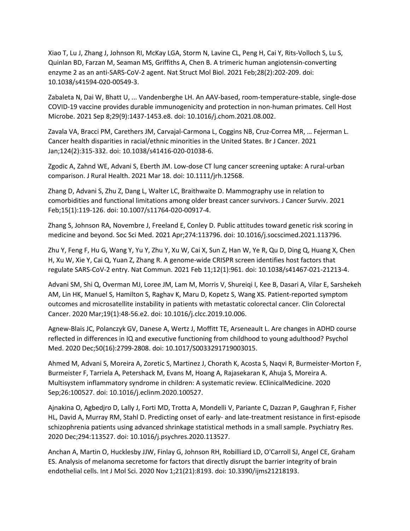Xiao T, Lu J, Zhang J, Johnson RI, McKay LGA, Storm N, Lavine CL, Peng H, Cai Y, Rits-Volloch S, Lu S, Quinlan BD, Farzan M, Seaman MS, Griffiths A, Chen B. A trimeric human angiotensin-converting enzyme 2 as an anti-SARS-CoV-2 agent. Nat Struct Mol Biol. 2021 Feb;28(2):202-209. doi: 10.1038/s41594-020-00549-3.

Zabaleta N, Dai W, Bhatt U, ... Vandenberghe LH. An AAV-based, room-temperature-stable, single-dose COVID-19 vaccine provides durable immunogenicity and protection in non-human primates. Cell Host Microbe. 2021 Sep 8;29(9):1437-1453.e8. doi: 10.1016/j.chom.2021.08.002.

Zavala VA, Bracci PM, Carethers JM, Carvajal-Carmona L, Coggins NB, Cruz-Correa MR, … Fejerman L. Cancer health disparities in racial/ethnic minorities in the United States. Br J Cancer. 2021 Jan;124(2):315-332. doi: 10.1038/s41416-020-01038-6.

Zgodic A, Zahnd WE, Advani S, Eberth JM. Low-dose CT lung cancer screening uptake: A rural-urban comparison. J Rural Health. 2021 Mar 18. doi: 10.1111/jrh.12568.

Zhang D, Advani S, Zhu Z, Dang L, Walter LC, Braithwaite D. Mammography use in relation to comorbidities and functional limitations among older breast cancer survivors. J Cancer Surviv. 2021 Feb;15(1):119-126. doi: 10.1007/s11764-020-00917-4.

Zhang S, Johnson RA, Novembre J, Freeland E, Conley D. Public attitudes toward genetic risk scoring in medicine and beyond. Soc Sci Med. 2021 Apr;274:113796. doi: 10.1016/j.socscimed.2021.113796.

Zhu Y, Feng F, Hu G, Wang Y, Yu Y, Zhu Y, Xu W, Cai X, Sun Z, Han W, Ye R, Qu D, Ding Q, Huang X, Chen H, Xu W, Xie Y, Cai Q, Yuan Z, Zhang R. A genome-wide CRISPR screen identifies host factors that regulate SARS-CoV-2 entry. Nat Commun. 2021 Feb 11;12(1):961. doi: 10.1038/s41467-021-21213-4.

Advani SM, Shi Q, Overman MJ, Loree JM, Lam M, Morris V, Shureiqi I, Kee B, Dasari A, Vilar E, Sarshekeh AM, Lin HK, Manuel S, Hamilton S, Raghav K, Maru D, Kopetz S, Wang XS. Patient-reported symptom outcomes and microsatellite instability in patients with metastatic colorectal cancer. Clin Colorectal Cancer. 2020 Mar;19(1):48-56.e2. doi: 10.1016/j.clcc.2019.10.006.

Agnew-Blais JC, Polanczyk GV, Danese A, Wertz J, Moffitt TE, Arseneault L. Are changes in ADHD course reflected in differences in IQ and executive functioning from childhood to young adulthood? Psychol Med. 2020 Dec;50(16):2799-2808. doi: 10.1017/S0033291719003015.

Ahmed M, Advani S, Moreira A, Zoretic S, Martinez J, Chorath K, Acosta S, Naqvi R, Burmeister-Morton F, Burmeister F, Tarriela A, Petershack M, Evans M, Hoang A, Rajasekaran K, Ahuja S, Moreira A. Multisystem inflammatory syndrome in children: A systematic review. EClinicalMedicine. 2020 Sep;26:100527. doi: 10.1016/j.eclinm.2020.100527.

Ajnakina O, Agbedjro D, Lally J, Forti MD, Trotta A, Mondelli V, Pariante C, Dazzan P, Gaughran F, Fisher HL, David A, Murray RM, Stahl D. Predicting onset of early- and late-treatment resistance in first-episode schizophrenia patients using advanced shrinkage statistical methods in a small sample. Psychiatry Res. 2020 Dec;294:113527. doi: 10.1016/j.psychres.2020.113527.

Anchan A, Martin O, Hucklesby JJW, Finlay G, Johnson RH, Robilliard LD, O'Carroll SJ, Angel CE, Graham ES. Analysis of melanoma secretome for factors that directly disrupt the barrier integrity of brain endothelial cells. Int J Mol Sci. 2020 Nov 1;21(21):8193. doi: 10.3390/ijms21218193.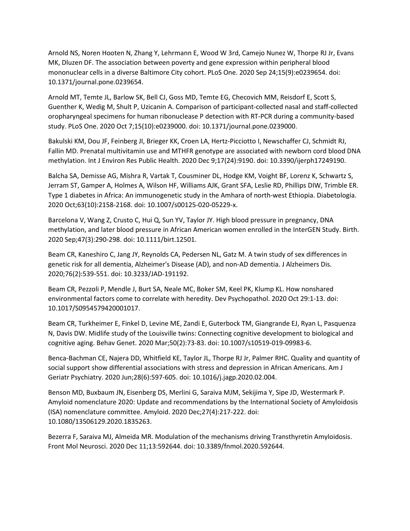Arnold NS, Noren Hooten N, Zhang Y, Lehrmann E, Wood W 3rd, Camejo Nunez W, Thorpe RJ Jr, Evans MK, Dluzen DF. The association between poverty and gene expression within peripheral blood mononuclear cells in a diverse Baltimore City cohort. PLoS One. 2020 Sep 24;15(9):e0239654. doi: 10.1371/journal.pone.0239654.

Arnold MT, Temte JL, Barlow SK, Bell CJ, Goss MD, Temte EG, Checovich MM, Reisdorf E, Scott S, Guenther K, Wedig M, Shult P, Uzicanin A. Comparison of participant-collected nasal and staff-collected oropharyngeal specimens for human ribonuclease P detection with RT-PCR during a community-based study. PLoS One. 2020 Oct 7;15(10):e0239000. doi: 10.1371/journal.pone.0239000.

Bakulski KM, Dou JF, Feinberg JI, Brieger KK, Croen LA, Hertz-Picciotto I, Newschaffer CJ, Schmidt RJ, Fallin MD. Prenatal multivitamin use and MTHFR genotype are associated with newborn cord blood DNA methylation. Int J Environ Res Public Health. 2020 Dec 9;17(24):9190. doi: 10.3390/ijerph17249190.

Balcha SA, Demisse AG, Mishra R, Vartak T, Cousminer DL, Hodge KM, Voight BF, Lorenz K, Schwartz S, Jerram ST, Gamper A, Holmes A, Wilson HF, Williams AJK, Grant SFA, Leslie RD, Phillips DIW, Trimble ER. Type 1 diabetes in Africa: An immunogenetic study in the Amhara of north-west Ethiopia. Diabetologia. 2020 Oct;63(10):2158-2168. doi: 10.1007/s00125-020-05229-x.

Barcelona V, Wang Z, Crusto C, Hui Q, Sun YV, Taylor JY. High blood pressure in pregnancy, DNA methylation, and later blood pressure in African American women enrolled in the InterGEN Study. Birth. 2020 Sep;47(3):290-298. doi: 10.1111/birt.12501.

Beam CR, Kaneshiro C, Jang JY, Reynolds CA, Pedersen NL, Gatz M. A twin study of sex differences in genetic risk for all dementia, Alzheimer's Disease (AD), and non-AD dementia. J Alzheimers Dis. 2020;76(2):539-551. doi: 10.3233/JAD-191192.

Beam CR, Pezzoli P, Mendle J, Burt SA, Neale MC, Boker SM, Keel PK, Klump KL. How nonshared environmental factors come to correlate with heredity. Dev Psychopathol. 2020 Oct 29:1-13. doi: 10.1017/S0954579420001017.

Beam CR, Turkheimer E, Finkel D, Levine ME, Zandi E, Guterbock TM, Giangrande EJ, Ryan L, Pasquenza N, Davis DW. Midlife study of the Louisville twins: Connecting cognitive development to biological and cognitive aging. Behav Genet. 2020 Mar;50(2):73-83. doi: 10.1007/s10519-019-09983-6.

Benca-Bachman CE, Najera DD, Whitfield KE, Taylor JL, Thorpe RJ Jr, Palmer RHC. Quality and quantity of social support show differential associations with stress and depression in African Americans. Am J Geriatr Psychiatry. 2020 Jun;28(6):597-605. doi: 10.1016/j.jagp.2020.02.004.

Benson MD, Buxbaum JN, Eisenberg DS, Merlini G, Saraiva MJM, Sekijima Y, Sipe JD, Westermark P. Amyloid nomenclature 2020: Update and recommendations by the International Society of Amyloidosis (ISA) nomenclature committee. Amyloid. 2020 Dec;27(4):217-222. doi: 10.1080/13506129.2020.1835263.

Bezerra F, Saraiva MJ, Almeida MR. Modulation of the mechanisms driving Transthyretin Amyloidosis. Front Mol Neurosci. 2020 Dec 11;13:592644. doi: 10.3389/fnmol.2020.592644.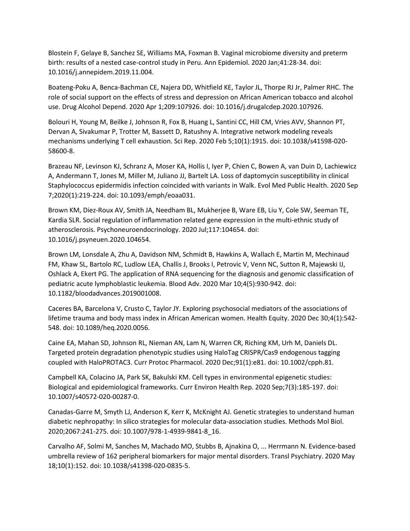Blostein F, Gelaye B, Sanchez SE, Williams MA, Foxman B. Vaginal microbiome diversity and preterm birth: results of a nested case-control study in Peru. Ann Epidemiol. 2020 Jan;41:28-34. doi: 10.1016/j.annepidem.2019.11.004.

Boateng-Poku A, Benca-Bachman CE, Najera DD, Whitfield KE, Taylor JL, Thorpe RJ Jr, Palmer RHC. The role of social support on the effects of stress and depression on African American tobacco and alcohol use. Drug Alcohol Depend. 2020 Apr 1;209:107926. doi: 10.1016/j.drugalcdep.2020.107926.

Bolouri H, Young M, Beilke J, Johnson R, Fox B, Huang L, Santini CC, Hill CM, Vries AVV, Shannon PT, Dervan A, Sivakumar P, Trotter M, Bassett D, Ratushny A. Integrative network modeling reveals mechanisms underlying T cell exhaustion. Sci Rep. 2020 Feb 5;10(1):1915. doi: 10.1038/s41598-020- 58600-8.

Brazeau NF, Levinson KJ, Schranz A, Moser KA, Hollis I, Iyer P, Chien C, Bowen A, van Duin D, Lachiewicz A, Andermann T, Jones M, Miller M, Juliano JJ, Bartelt LA. Loss of daptomycin susceptibility in clinical Staphylococcus epidermidis infection coincided with variants in Walk. Evol Med Public Health. 2020 Sep 7;2020(1):219-224. doi: 10.1093/emph/eoaa031.

Brown KM, Diez-Roux AV, Smith JA, Needham BL, Mukherjee B, Ware EB, Liu Y, Cole SW, Seeman TE, Kardia SLR. Social regulation of inflammation related gene expression in the multi-ethnic study of atherosclerosis. Psychoneuroendocrinology. 2020 Jul;117:104654. doi: 10.1016/j.psyneuen.2020.104654.

Brown LM, Lonsdale A, Zhu A, Davidson NM, Schmidt B, Hawkins A, Wallach E, Martin M, Mechinaud FM, Khaw SL, Bartolo RC, Ludlow LEA, Challis J, Brooks I, Petrovic V, Venn NC, Sutton R, Majewski IJ, Oshlack A, Ekert PG. The application of RNA sequencing for the diagnosis and genomic classification of pediatric acute lymphoblastic leukemia. Blood Adv. 2020 Mar 10;4(5):930-942. doi: 10.1182/bloodadvances.2019001008.

Caceres BA, Barcelona V, Crusto C, Taylor JY. Exploring psychosocial mediators of the associations of lifetime trauma and body mass index in African American women. Health Equity. 2020 Dec 30;4(1):542- 548. doi: 10.1089/heq.2020.0056.

Caine EA, Mahan SD, Johnson RL, Nieman AN, Lam N, Warren CR, Riching KM, Urh M, Daniels DL. Targeted protein degradation phenotypic studies using HaloTag CRISPR/Cas9 endogenous tagging coupled with HaloPROTAC3. Curr Protoc Pharmacol. 2020 Dec;91(1):e81. doi: 10.1002/cpph.81.

Campbell KA, Colacino JA, Park SK, Bakulski KM. Cell types in environmental epigenetic studies: Biological and epidemiological frameworks. Curr Environ Health Rep. 2020 Sep;7(3):185-197. doi: 10.1007/s40572-020-00287-0.

Canadas-Garre M, Smyth LJ, Anderson K, Kerr K, McKnight AJ. Genetic strategies to understand human diabetic nephropathy: In silico strategies for molecular data-association studies. Methods Mol Biol. 2020;2067:241-275. doi: 10.1007/978-1-4939-9841-8\_16.

Carvalho AF, Solmi M, Sanches M, Machado MO, Stubbs B, Ajnakina O, ... Herrmann N. Evidence-based umbrella review of 162 peripheral biomarkers for major mental disorders. Transl Psychiatry. 2020 May 18;10(1):152. doi: 10.1038/s41398-020-0835-5.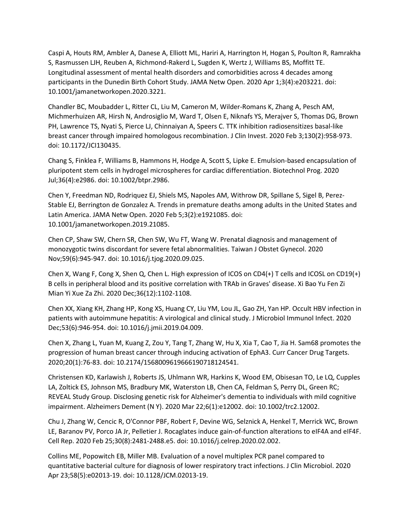Caspi A, Houts RM, Ambler A, Danese A, Elliott ML, Hariri A, Harrington H, Hogan S, Poulton R, Ramrakha S, Rasmussen LJH, Reuben A, Richmond-Rakerd L, Sugden K, Wertz J, Williams BS, Moffitt TE. Longitudinal assessment of mental health disorders and comorbidities across 4 decades among participants in the Dunedin Birth Cohort Study. JAMA Netw Open. 2020 Apr 1;3(4):e203221. doi: 10.1001/jamanetworkopen.2020.3221.

Chandler BC, Moubadder L, Ritter CL, Liu M, Cameron M, Wilder-Romans K, Zhang A, Pesch AM, Michmerhuizen AR, Hirsh N, Androsiglio M, Ward T, Olsen E, Niknafs YS, Merajver S, Thomas DG, Brown PH, Lawrence TS, Nyati S, Pierce LJ, Chinnaiyan A, Speers C. TTK inhibition radiosensitizes basal-like breast cancer through impaired homologous recombination. J Clin Invest. 2020 Feb 3;130(2):958-973. doi: 10.1172/JCI130435.

Chang S, Finklea F, Williams B, Hammons H, Hodge A, Scott S, Lipke E. Emulsion-based encapsulation of pluripotent stem cells in hydrogel microspheres for cardiac differentiation. Biotechnol Prog. 2020 Jul;36(4):e2986. doi: 10.1002/btpr.2986.

Chen Y, Freedman ND, Rodriquez EJ, Shiels MS, Napoles AM, Withrow DR, Spillane S, Sigel B, Perez-Stable EJ, Berrington de Gonzalez A. Trends in premature deaths among adults in the United States and Latin America. JAMA Netw Open. 2020 Feb 5;3(2):e1921085. doi: 10.1001/jamanetworkopen.2019.21085.

Chen CP, Shaw SW, Chern SR, Chen SW, Wu FT, Wang W. Prenatal diagnosis and management of monozygotic twins discordant for severe fetal abnormalities. Taiwan J Obstet Gynecol. 2020 Nov;59(6):945-947. doi: 10.1016/j.tjog.2020.09.025.

Chen X, Wang F, Cong X, Shen Q, Chen L. High expression of ICOS on CD4(+) T cells and ICOSL on CD19(+) B cells in peripheral blood and its positive correlation with TRAb in Graves' disease. Xi Bao Yu Fen Zi Mian Yi Xue Za Zhi. 2020 Dec;36(12):1102-1108.

Chen XX, Xiang KH, Zhang HP, Kong XS, Huang CY, Liu YM, Lou JL, Gao ZH, Yan HP. Occult HBV infection in patients with autoimmune hepatitis: A virological and clinical study. J Microbiol Immunol Infect. 2020 Dec;53(6):946-954. doi: 10.1016/j.jmii.2019.04.009.

Chen X, Zhang L, Yuan M, Kuang Z, Zou Y, Tang T, Zhang W, Hu X, Xia T, Cao T, Jia H. Sam68 promotes the progression of human breast cancer through inducing activation of EphA3. Curr Cancer Drug Targets. 2020;20(1):76-83. doi: 10.2174/1568009619666190718124541.

Christensen KD, Karlawish J, Roberts JS, Uhlmann WR, Harkins K, Wood EM, Obisesan TO, Le LQ, Cupples LA, Zoltick ES, Johnson MS, Bradbury MK, Waterston LB, Chen CA, Feldman S, Perry DL, Green RC; REVEAL Study Group. Disclosing genetic risk for Alzheimer's dementia to individuals with mild cognitive impairment. Alzheimers Dement (N Y). 2020 Mar 22;6(1):e12002. doi: 10.1002/trc2.12002.

Chu J, Zhang W, Cencic R, O'Connor PBF, Robert F, Devine WG, Selznick A, Henkel T, Merrick WC, Brown LE, Baranov PV, Porco JA Jr, Pelletier J. Rocaglates induce gain-of-function alterations to eIF4A and eIF4F. Cell Rep. 2020 Feb 25;30(8):2481-2488.e5. doi: 10.1016/j.celrep.2020.02.002.

Collins ME, Popowitch EB, Miller MB. Evaluation of a novel multiplex PCR panel compared to quantitative bacterial culture for diagnosis of lower respiratory tract infections. J Clin Microbiol. 2020 Apr 23;58(5):e02013-19. doi: 10.1128/JCM.02013-19.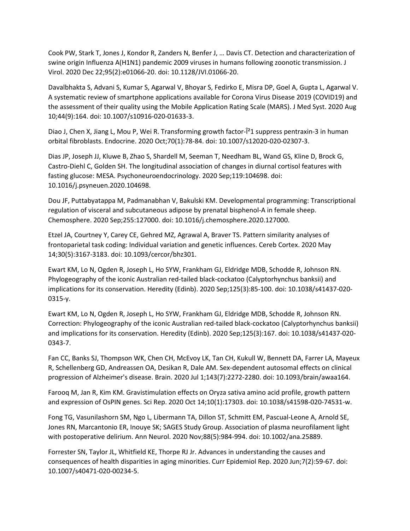Cook PW, Stark T, Jones J, Kondor R, Zanders N, Benfer J, … Davis CT. Detection and characterization of swine origin Influenza A(H1N1) pandemic 2009 viruses in humans following zoonotic transmission. J Virol. 2020 Dec 22;95(2):e01066-20. doi: 10.1128/JVI.01066-20.

Davalbhakta S, Advani S, Kumar S, Agarwal V, Bhoyar S, Fedirko E, Misra DP, Goel A, Gupta L, Agarwal V. A systematic review of smartphone applications available for Corona Virus Disease 2019 (COVID19) and the assessment of their quality using the Mobile Application Rating Scale (MARS). J Med Syst. 2020 Aug 10;44(9):164. doi: 10.1007/s10916-020-01633-3.

Diao J, Chen X, Jiang L, Mou P, Wei R. Transforming growth factor-<sup>[2</sup>1 suppress pentraxin-3 in human orbital fibroblasts. Endocrine. 2020 Oct;70(1):78-84. doi: 10.1007/s12020-020-02307-3.

Dias JP, Joseph JJ, Kluwe B, Zhao S, Shardell M, Seeman T, Needham BL, Wand GS, Kline D, Brock G, Castro-Diehl C, Golden SH. The longitudinal association of changes in diurnal cortisol features with fasting glucose: MESA. Psychoneuroendocrinology. 2020 Sep;119:104698. doi: 10.1016/j.psyneuen.2020.104698.

Dou JF, Puttabyatappa M, Padmanabhan V, Bakulski KM. Developmental programming: Transcriptional regulation of visceral and subcutaneous adipose by prenatal bisphenol-A in female sheep. Chemosphere. 2020 Sep;255:127000. doi: 10.1016/j.chemosphere.2020.127000.

Etzel JA, Courtney Y, Carey CE, Gehred MZ, Agrawal A, Braver TS. Pattern similarity analyses of frontoparietal task coding: Individual variation and genetic influences. Cereb Cortex. 2020 May 14;30(5):3167-3183. doi: 10.1093/cercor/bhz301.

Ewart KM, Lo N, Ogden R, Joseph L, Ho SYW, Frankham GJ, Eldridge MDB, Schodde R, Johnson RN. Phylogeography of the iconic Australian red-tailed black-cockatoo (Calyptorhynchus banksii) and implications for its conservation. Heredity (Edinb). 2020 Sep;125(3):85-100. doi: 10.1038/s41437-020- 0315-y.

Ewart KM, Lo N, Ogden R, Joseph L, Ho SYW, Frankham GJ, Eldridge MDB, Schodde R, Johnson RN. Correction: Phylogeography of the iconic Australian red-tailed black-cockatoo (Calyptorhynchus banksii) and implications for its conservation. Heredity (Edinb). 2020 Sep;125(3):167. doi: 10.1038/s41437-020- 0343-7.

Fan CC, Banks SJ, Thompson WK, Chen CH, McEvoy LK, Tan CH, Kukull W, Bennett DA, Farrer LA, Mayeux R, Schellenberg GD, Andreassen OA, Desikan R, Dale AM. Sex-dependent autosomal effects on clinical progression of Alzheimer's disease. Brain. 2020 Jul 1;143(7):2272-2280. doi: 10.1093/brain/awaa164.

Farooq M, Jan R, Kim KM. Gravistimulation effects on Oryza sativa amino acid profile, growth pattern and expression of OsPIN genes. Sci Rep. 2020 Oct 14;10(1):17303. doi: 10.1038/s41598-020-74531-w.

Fong TG, Vasunilashorn SM, Ngo L, Libermann TA, Dillon ST, Schmitt EM, Pascual-Leone A, Arnold SE, Jones RN, Marcantonio ER, Inouye SK; SAGES Study Group. Association of plasma neurofilament light with postoperative delirium. Ann Neurol. 2020 Nov;88(5):984-994. doi: 10.1002/ana.25889.

Forrester SN, Taylor JL, Whitfield KE, Thorpe RJ Jr. Advances in understanding the causes and consequences of health disparities in aging minorities. Curr Epidemiol Rep. 2020 Jun;7(2):59-67. doi: 10.1007/s40471-020-00234-5.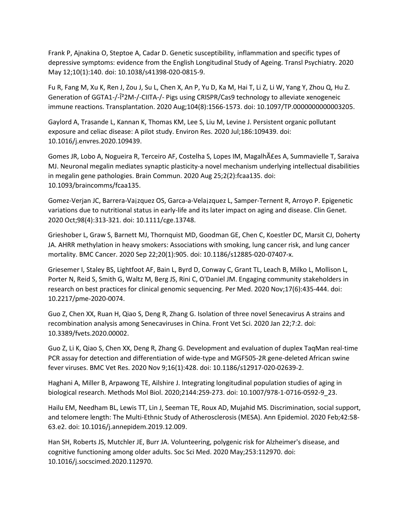Frank P, Ajnakina O, Steptoe A, Cadar D. Genetic susceptibility, inflammation and specific types of depressive symptoms: evidence from the English Longitudinal Study of Ageing. Transl Psychiatry. 2020 May 12;10(1):140. doi: 10.1038/s41398-020-0815-9.

Fu R, Fang M, Xu K, Ren J, Zou J, Su L, Chen X, An P, Yu D, Ka M, Hai T, Li Z, Li W, Yang Y, Zhou Q, Hu Z. Generation of GGTA1-/-β2M-/-CIITA-/- Pigs using CRISPR/Cas9 technology to alleviate xenogeneic immune reactions. Transplantation. 2020 Aug;104(8):1566-1573. doi: 10.1097/TP.0000000000003205.

Gaylord A, Trasande L, Kannan K, Thomas KM, Lee S, Liu M, Levine J. Persistent organic pollutant exposure and celiac disease: A pilot study. Environ Res. 2020 Jul;186:109439. doi: 10.1016/j.envres.2020.109439.

Gomes JR, Lobo A, Nogueira R, Terceiro AF, Costelha S, Lopes IM, Magalhães A, Summavielle T, Saraiva MJ. Neuronal megalin mediates synaptic plasticity-a novel mechanism underlying intellectual disabilities in megalin gene pathologies. Brain Commun. 2020 Aug 25;2(2):fcaa135. doi: 10.1093/braincomms/fcaa135.

Gomez-Verjan JC, Barrera-Va¡zquez OS, Garca-a-Vela¡zquez L, Samper-Ternent R, Arroyo P. Epigenetic variations due to nutritional status in early-life and its later impact on aging and disease. Clin Genet. 2020 Oct;98(4):313-321. doi: 10.1111/cge.13748.

Grieshober L, Graw S, Barnett MJ, Thornquist MD, Goodman GE, Chen C, Koestler DC, Marsit CJ, Doherty JA. AHRR methylation in heavy smokers: Associations with smoking, lung cancer risk, and lung cancer mortality. BMC Cancer. 2020 Sep 22;20(1):905. doi: 10.1186/s12885-020-07407-x.

Griesemer I, Staley BS, Lightfoot AF, Bain L, Byrd D, Conway C, Grant TL, Leach B, Milko L, Mollison L, Porter N, Reid S, Smith G, Waltz M, Berg JS, Rini C, O'Daniel JM. Engaging community stakeholders in research on best practices for clinical genomic sequencing. Per Med. 2020 Nov;17(6):435-444. doi: 10.2217/pme-2020-0074.

Guo Z, Chen XX, Ruan H, Qiao S, Deng R, Zhang G. Isolation of three novel Senecavirus A strains and recombination analysis among Senecaviruses in China. Front Vet Sci. 2020 Jan 22;7:2. doi: 10.3389/fvets.2020.00002.

Guo Z, Li K, Qiao S, Chen XX, Deng R, Zhang G. Development and evaluation of duplex TaqMan real-time PCR assay for detection and differentiation of wide-type and MGF505-2R gene-deleted African swine fever viruses. BMC Vet Res. 2020 Nov 9;16(1):428. doi: 10.1186/s12917-020-02639-2.

Haghani A, Miller B, Arpawong TE, Ailshire J. Integrating longitudinal population studies of aging in biological research. Methods Mol Biol. 2020;2144:259-273. doi: 10.1007/978-1-0716-0592-9\_23.

Hailu EM, Needham BL, Lewis TT, Lin J, Seeman TE, Roux AD, Mujahid MS. Discrimination, social support, and telomere length: The Multi-Ethnic Study of Atherosclerosis (MESA). Ann Epidemiol. 2020 Feb;42:58- 63.e2. doi: 10.1016/j.annepidem.2019.12.009.

Han SH, Roberts JS, Mutchler JE, Burr JA. Volunteering, polygenic risk for Alzheimer's disease, and cognitive functioning among older adults. Soc Sci Med. 2020 May;253:112970. doi: 10.1016/j.socscimed.2020.112970.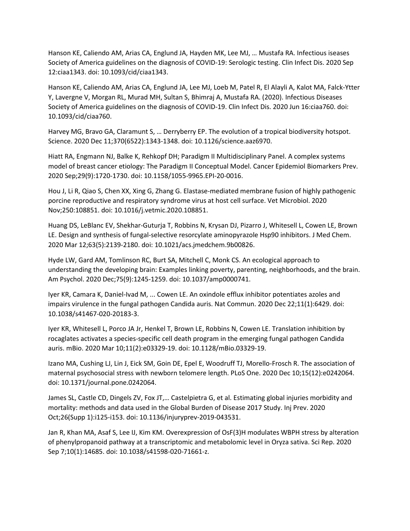Hanson KE, Caliendo AM, Arias CA, Englund JA, Hayden MK, Lee MJ, … Mustafa RA. Infectious iseases Society of America guidelines on the diagnosis of COVID-19: Serologic testing. Clin Infect Dis. 2020 Sep 12:ciaa1343. doi: 10.1093/cid/ciaa1343.

Hanson KE, Caliendo AM, Arias CA, Englund JA, Lee MJ, Loeb M, Patel R, El Alayli A, Kalot MA, Falck-Ytter Y, Lavergne V, Morgan RL, Murad MH, Sultan S, Bhimraj A, Mustafa RA. (2020). Infectious Diseases Society of America guidelines on the diagnosis of COVID-19. Clin Infect Dis. 2020 Jun 16:ciaa760. doi: 10.1093/cid/ciaa760.

Harvey MG, Bravo GA, Claramunt S, … Derryberry EP. The evolution of a tropical biodiversity hotspot. Science. 2020 Dec 11;370(6522):1343-1348. doi: 10.1126/science.aaz6970.

Hiatt RA, Engmann NJ, Balke K, Rehkopf DH; Paradigm II Multidisciplinary Panel. A complex systems model of breast cancer etiology: The Paradigm II Conceptual Model. Cancer Epidemiol Biomarkers Prev. 2020 Sep;29(9):1720-1730. doi: 10.1158/1055-9965.EPI-20-0016.

Hou J, Li R, Qiao S, Chen XX, Xing G, Zhang G. Elastase-mediated membrane fusion of highly pathogenic porcine reproductive and respiratory syndrome virus at host cell surface. Vet Microbiol. 2020 Nov;250:108851. doi: 10.1016/j.vetmic.2020.108851.

Huang DS, LeBlanc EV, Shekhar-Guturja T, Robbins N, Krysan DJ, Pizarro J, Whitesell L, Cowen LE, Brown LE. Design and synthesis of fungal-selective resorcylate aminopyrazole Hsp90 inhibitors. J Med Chem. 2020 Mar 12;63(5):2139-2180. doi: 10.1021/acs.jmedchem.9b00826.

Hyde LW, Gard AM, Tomlinson RC, Burt SA, Mitchell C, Monk CS. An ecological approach to understanding the developing brain: Examples linking poverty, parenting, neighborhoods, and the brain. Am Psychol. 2020 Dec;75(9):1245-1259. doi: 10.1037/amp0000741.

Iyer KR, Camara K, Daniel-Ivad M, ... Cowen LE. An oxindole efflux inhibitor potentiates azoles and impairs virulence in the fungal pathogen Candida auris. Nat Commun. 2020 Dec 22;11(1):6429. doi: 10.1038/s41467-020-20183-3.

Iyer KR, Whitesell L, Porco JA Jr, Henkel T, Brown LE, Robbins N, Cowen LE. Translation inhibition by rocaglates activates a species-specific cell death program in the emerging fungal pathogen Candida auris. mBio. 2020 Mar 10;11(2):e03329-19. doi: 10.1128/mBio.03329-19.

Izano MA, Cushing LJ, Lin J, Eick SM, Goin DE, Epel E, Woodruff TJ, Morello-Frosch R. The association of maternal psychosocial stress with newborn telomere length. PLoS One. 2020 Dec 10;15(12):e0242064. doi: 10.1371/journal.pone.0242064.

James SL, Castle CD, Dingels ZV, Fox JT,… Castelpietra G, et al. Estimating global injuries morbidity and mortality: methods and data used in the Global Burden of Disease 2017 Study. Inj Prev. 2020 Oct;26(Supp 1):i125-i153. doi: 10.1136/injuryprev-2019-043531.

Jan R, Khan MA, Asaf S, Lee IJ, Kim KM. Overexpression of OsF(3)H modulates WBPH stress by alteration of phenylpropanoid pathway at a transcriptomic and metabolomic level in Oryza sativa. Sci Rep. 2020 Sep 7;10(1):14685. doi: 10.1038/s41598-020-71661-z.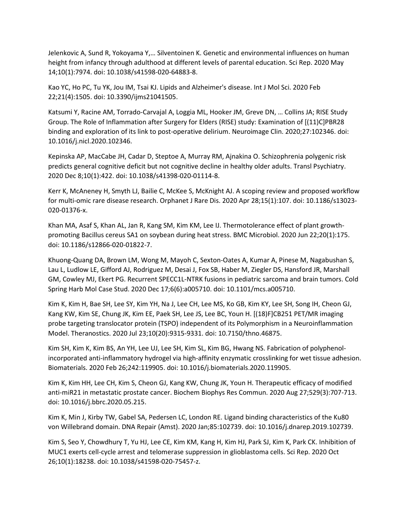Jelenkovic A, Sund R, Yokoyama Y,… Silventoinen K. Genetic and environmental influences on human height from infancy through adulthood at different levels of parental education. Sci Rep. 2020 May 14;10(1):7974. doi: 10.1038/s41598-020-64883-8.

Kao YC, Ho PC, Tu YK, Jou IM, Tsai KJ. Lipids and Alzheimer's disease. Int J Mol Sci. 2020 Feb 22;21(4):1505. doi: 10.3390/ijms21041505.

Katsumi Y, Racine AM, Torrado-Carvajal A, Loggia ML, Hooker JM, Greve DN, … Collins JA; RISE Study Group. The Role of Inflammation after Surgery for Elders (RISE) study: Examination of [(11)C]PBR28 binding and exploration of its link to post-operative delirium. Neuroimage Clin. 2020;27:102346. doi: 10.1016/j.nicl.2020.102346.

Kepinska AP, MacCabe JH, Cadar D, Steptoe A, Murray RM, Ajnakina O. Schizophrenia polygenic risk predicts general cognitive deficit but not cognitive decline in healthy older adults. Transl Psychiatry. 2020 Dec 8;10(1):422. doi: 10.1038/s41398-020-01114-8.

Kerr K, McAneney H, Smyth LJ, Bailie C, McKee S, McKnight AJ. A scoping review and proposed workflow for multi-omic rare disease research. Orphanet J Rare Dis. 2020 Apr 28;15(1):107. doi: 10.1186/s13023- 020-01376-x.

Khan MA, Asaf S, Khan AL, Jan R, Kang SM, Kim KM, Lee IJ. Thermotolerance effect of plant growthpromoting Bacillus cereus SA1 on soybean during heat stress. BMC Microbiol. 2020 Jun 22;20(1):175. doi: 10.1186/s12866-020-01822-7.

Khuong-Quang DA, Brown LM, Wong M, Mayoh C, Sexton-Oates A, Kumar A, Pinese M, Nagabushan S, Lau L, Ludlow LE, Gifford AJ, Rodriguez M, Desai J, Fox SB, Haber M, Ziegler DS, Hansford JR, Marshall GM, Cowley MJ, Ekert PG. Recurrent SPECC1L-NTRK fusions in pediatric sarcoma and brain tumors. Cold Spring Harb Mol Case Stud. 2020 Dec 17;6(6):a005710. doi: 10.1101/mcs.a005710.

Kim K, Kim H, Bae SH, Lee SY, Kim YH, Na J, Lee CH, Lee MS, Ko GB, Kim KY, Lee SH, Song IH, Cheon GJ, Kang KW, Kim SE, Chung JK, Kim EE, Paek SH, Lee JS, Lee BC, Youn H. [(18)F]CB251 PET/MR imaging probe targeting translocator protein (TSPO) independent of its Polymorphism in a Neuroinflammation Model. Theranostics. 2020 Jul 23;10(20):9315-9331. doi: 10.7150/thno.46875.

Kim SH, Kim K, Kim BS, An YH, Lee UJ, Lee SH, Kim SL, Kim BG, Hwang NS. Fabrication of polyphenolincorporated anti-inflammatory hydrogel via high-affinity enzymatic crosslinking for wet tissue adhesion. Biomaterials. 2020 Feb 26;242:119905. doi: 10.1016/j.biomaterials.2020.119905.

Kim K, Kim HH, Lee CH, Kim S, Cheon GJ, Kang KW, Chung JK, Youn H. Therapeutic efficacy of modified anti-miR21 in metastatic prostate cancer. Biochem Biophys Res Commun. 2020 Aug 27;529(3):707-713. doi: 10.1016/j.bbrc.2020.05.215.

Kim K, Min J, Kirby TW, Gabel SA, Pedersen LC, London RE. Ligand binding characteristics of the Ku80 von Willebrand domain. DNA Repair (Amst). 2020 Jan;85:102739. doi: 10.1016/j.dnarep.2019.102739.

Kim S, Seo Y, Chowdhury T, Yu HJ, Lee CE, Kim KM, Kang H, Kim HJ, Park SJ, Kim K, Park CK. Inhibition of MUC1 exerts cell-cycle arrest and telomerase suppression in glioblastoma cells. Sci Rep. 2020 Oct 26;10(1):18238. doi: 10.1038/s41598-020-75457-z.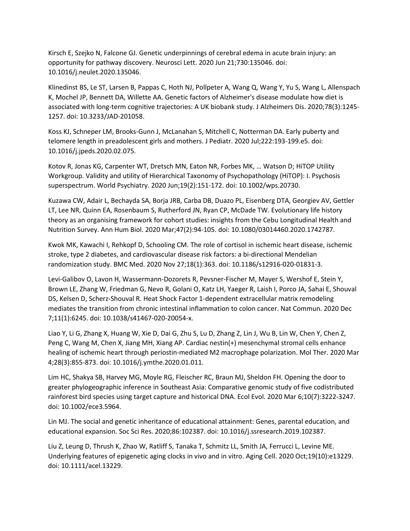Kirsch E, Szejko N, Falcone GJ. Genetic underpinnings of cerebral edema in acute brain injury: an opportunity for pathway discovery. Neurosci Lett. 2020 Jun 21;730:135046. doi: 10.1016/j.neulet.2020.135046.

Klinedinst BS, Le ST, Larsen B, Pappas C, Hoth NJ, Pollpeter A, Wang Q, Wang Y, Yu S, Wang L, Allenspach K, Mochel JP, Bennett DA, Willette AA. Genetic factors of Alzheimer's disease modulate how diet is associated with long-term cognitive trajectories: A UK biobank study. J Alzheimers Dis. 2020;78(3):1245- 1257. doi: 10.3233/JAD-201058.

Koss KJ, Schneper LM, Brooks-Gunn J, McLanahan S, Mitchell C, Notterman DA. Early puberty and telomere length in preadolescent girls and mothers. J Pediatr. 2020 Jul;222:193-199.e5. doi: 10.1016/j.jpeds.2020.02.075.

Kotov R, Jonas KG, Carpenter WT, Dretsch MN, Eaton NR, Forbes MK, … Watson D; HiTOP Utility Workgroup. Validity and utility of Hierarchical Taxonomy of Psychopathology (HiTOP): I. Psychosis superspectrum. World Psychiatry. 2020 Jun;19(2):151-172. doi: 10.1002/wps.20730.

Kuzawa CW, Adair L, Bechayda SA, Borja JRB, Carba DB, Duazo PL, Eisenberg DTA, Georgiev AV, Gettler LT, Lee NR, Quinn EA, Rosenbaum S, Rutherford JN, Ryan CP, McDade TW. Evolutionary life history theory as an organising framework for cohort studies: insights from the Cebu Longitudinal Health and Nutrition Survey. Ann Hum Biol. 2020 Mar;47(2):94-105. doi: 10.1080/03014460.2020.1742787.

Kwok MK, Kawachi I, Rehkopf D, Schooling CM. The role of cortisol in ischemic heart disease, ischemic stroke, type 2 diabetes, and cardiovascular disease risk factors: a bi-directional Mendelian randomization study. BMC Med. 2020 Nov 27;18(1):363. doi: 10.1186/s12916-020-01831-3.

Levi-Galibov O, Lavon H, Wassermann-Dozorets R, Pevsner-Fischer M, Mayer S, Wershof E, Stein Y, Brown LE, Zhang W, Friedman G, Nevo R, Golani O, Katz LH, Yaeger R, Laish I, Porco JA, Sahai E, Shouval DS, Kelsen D, Scherz-Shouval R. Heat Shock Factor 1-dependent extracellular matrix remodeling mediates the transition from chronic intestinal inflammation to colon cancer. Nat Commun. 2020 Dec 7;11(1):6245. doi: 10.1038/s41467-020-20054-x.

Liao Y, Li G, Zhang X, Huang W, Xie D, Dai G, Zhu S, Lu D, Zhang Z, Lin J, Wu B, Lin W, Chen Y, Chen Z, Peng C, Wang M, Chen X, Jiang MH, Xiang AP. Cardiac nestin(+) mesenchymal stromal cells enhance healing of ischemic heart through periostin-mediated M2 macrophage polarization. Mol Ther. 2020 Mar 4;28(3):855-873. doi: 10.1016/j.ymthe.2020.01.011.

Lim HC, Shakya SB, Harvey MG, Moyle RG, Fleischer RC, Braun MJ, Sheldon FH. Opening the door to greater phylogeographic inference in Southeast Asia: Comparative genomic study of five codistributed rainforest bird species using target capture and historical DNA. Ecol Evol. 2020 Mar 6;10(7):3222-3247. doi: 10.1002/ece3.5964.

Lin MJ. The social and genetic inheritance of educational attainment: Genes, parental education, and educational expansion. Soc Sci Res. 2020;86:102387. doi: 10.1016/j.ssresearch.2019.102387.

Liu Z, Leung D, Thrush K, Zhao W, Ratliff S, Tanaka T, Schmitz LL, Smith JA, Ferrucci L, Levine ME. Underlying features of epigenetic aging clocks in vivo and in vitro. Aging Cell. 2020 Oct;19(10):e13229. doi: 10.1111/acel.13229.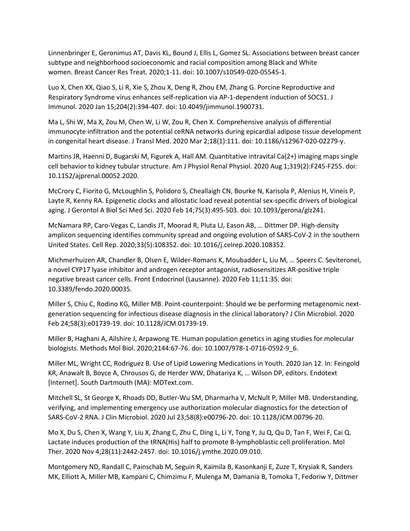Linnenbringer E, Geronimus AT, Davis KL, Bound J, Ellis L, Gomez SL. Associations between breast cancer subtype and neighborhood socioeconomic and racial composition among Black and White women. Breast Cancer Res Treat. 2020;1-11. doi: 10.1007/s10549-020-05545-1.

Luo X, Chen XX, Qiao S, Li R, Xie S, Zhou X, Deng R, Zhou EM, Zhang G. Porcine Reproductive and Respiratory Syndrome virus enhances self-replication via AP-1-dependent induction of SOCS1. J Immunol. 2020 Jan 15;204(2):394-407. doi: 10.4049/jimmunol.1900731.

Ma L, Shi W, Ma X, Zou M, Chen W, Li W, Zou R, Chen X. Comprehensive analysis of differential immunocyte infiltration and the potential ceRNA networks during epicardial adipose tissue development in congenital heart disease. J Transl Med. 2020 Mar 2;18(1):111. doi: 10.1186/s12967-020-02279-y.

Martins JR, Haenni D, Bugarski M, Figurek A, Hall AM. Quantitative intravital Ca(2+) imaging maps single cell behavior to kidney tubular structure. Am J Physiol Renal Physiol. 2020 Aug 1;319(2):F245-F255. doi: 10.1152/ajprenal.00052.2020.

McCrory C, Fiorito G, McLoughlin S, Polidoro S, Cheallaigh CN, Bourke N, Karisola P, Alenius H, Vineis P, Layte R, Kenny RA. Epigenetic clocks and allostatic load reveal potential sex-specific drivers of biological aging. J Gerontol A Biol Sci Med Sci. 2020 Feb 14;75(3):495-503. doi: 10.1093/gerona/glz241.

McNamara RP, Caro-Vegas C, Landis JT, Moorad R, Pluta LJ, Eason AB, … Dittmer DP. High-density amplicon sequencing identifies community spread and ongoing evolution of SARS-CoV-2 in the southern United States. Cell Rep. 2020;33(5):108352. doi: 10.1016/j.celrep.2020.108352.

Michmerhuizen AR, Chandler B, Olsen E, Wilder-Romans K, Moubadder L, Liu M, … Speers C. Seviteronel, a novel CYP17 lyase inhibitor and androgen receptor antagonist, radiosensitizes AR-positive triple negative breast cancer cells. Front Endocrinol (Lausanne). 2020 Feb 11;11:35. doi: 10.3389/fendo.2020.00035.

Miller S, Chiu C, Rodino KG, Miller MB. Point-counterpoint: Should we be performing metagenomic nextgeneration sequencing for infectious disease diagnosis in the clinical laboratory? J Clin Microbiol. 2020 Feb 24;58(3):e01739-19. doi: 10.1128/JCM.01739-19.

Miller B, Haghani A, Ailshire J, Arpawong TE. Human population genetics in aging studies for molecular biologists. Methods Mol Biol. 2020;2144:67-76. doi: 10.1007/978-1-0716-0592-9\_6.

Miller ML, Wright CC, Rodriguez B. Use of Lipid Lowering Medications in Youth. 2020 Jan 12. In: Feingold KR, Anawalt B, Boyce A, Chrousos G, de Herder WW, Dhatariya K, … Wilson DP, editors. Endotext [Internet]. South Dartmouth (MA): MDText.com.

Mitchell SL, St George K, Rhoads DD, Butler-Wu SM, Dharmarha V, McNult P, Miller MB. Understanding, verifying, and implementing emergency use authorization molecular diagnostics for the detection of SARS-CoV-2 RNA. J Clin Microbiol. 2020 Jul 23;58(8):e00796-20. doi: 10.1128/JCM.00796-20.

Mo X, Du S, Chen X, Wang Y, Liu X, Zhang C, Zhu C, Ding L, Li Y, Tong Y, Ju Q, Qu D, Tan F, Wei F, Cai Q. Lactate induces production of the tRNA(His) half to promote B-lymphoblastic cell proliferation. Mol Ther. 2020 Nov 4;28(11):2442-2457. doi: 10.1016/j.ymthe.2020.09.010.

Montgomery ND, Randall C, Painschab M, Seguin R, Kaimila B, Kasonkanji E, Zuze T, Krysiak R, Sanders MK, Elliott A, Miller MB, Kampani C, Chimzimu F, Mulenga M, Damania B, Tomoka T, Fedoriw Y, Dittmer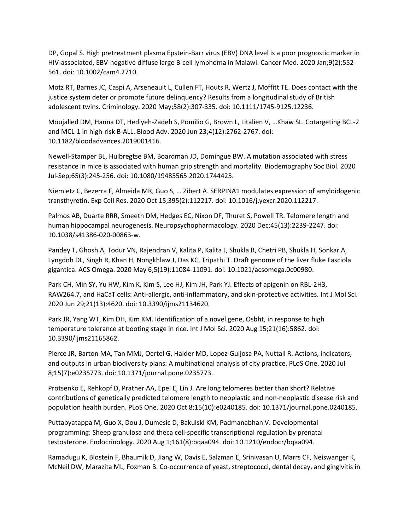DP, Gopal S. High pretreatment plasma Epstein-Barr virus (EBV) DNA level is a poor prognostic marker in HIV-associated, EBV-negative diffuse large B-cell lymphoma in Malawi. Cancer Med. 2020 Jan;9(2):552- 561. doi: 10.1002/cam4.2710.

Motz RT, Barnes JC, Caspi A, Arseneault L, Cullen FT, Houts R, Wertz J, Moffitt TE. Does contact with the justice system deter or promote future delinquency? Results from a longitudinal study of British adolescent twins. Criminology. 2020 May;58(2):307-335. doi: 10.1111/1745-9125.12236.

Moujalled DM, Hanna DT, Hediyeh-Zadeh S, Pomilio G, Brown L, Litalien V, …Khaw SL. Cotargeting BCL-2 and MCL-1 in high-risk B-ALL. Blood Adv. 2020 Jun 23;4(12):2762-2767. doi: 10.1182/bloodadvances.2019001416.

Newell-Stamper BL, Huibregtse BM, Boardman JD, Domingue BW. A mutation associated with stress resistance in mice is associated with human grip strength and mortality. Biodemography Soc Biol. 2020 Jul-Sep;65(3):245-256. doi: 10.1080/19485565.2020.1744425.

Niemietz C, Bezerra F, Almeida MR, Guo S, … Zibert A. SERPINA1 modulates expression of amyloidogenic transthyretin. Exp Cell Res. 2020 Oct 15;395(2):112217. doi: 10.1016/j.yexcr.2020.112217.

Palmos AB, Duarte RRR, Smeeth DM, Hedges EC, Nixon DF, Thuret S, Powell TR. Telomere length and human hippocampal neurogenesis. Neuropsychopharmacology. 2020 Dec;45(13):2239-2247. doi: 10.1038/s41386-020-00863-w.

Pandey T, Ghosh A, Todur VN, Rajendran V, Kalita P, Kalita J, Shukla R, Chetri PB, Shukla H, Sonkar A, Lyngdoh DL, Singh R, Khan H, Nongkhlaw J, Das KC, Tripathi T. Draft genome of the liver fluke Fasciola gigantica. ACS Omega. 2020 May 6;5(19):11084-11091. doi: 10.1021/acsomega.0c00980.

Park CH, Min SY, Yu HW, Kim K, Kim S, Lee HJ, Kim JH, Park YJ. Effects of apigenin on RBL-2H3, RAW264.7, and HaCaT cells: Anti-allergic, anti-inflammatory, and skin-protective activities. Int J Mol Sci. 2020 Jun 29;21(13):4620. doi: 10.3390/ijms21134620.

Park JR, Yang WT, Kim DH, Kim KM. Identification of a novel gene, Osbht, in response to high temperature tolerance at booting stage in rice. Int J Mol Sci. 2020 Aug 15;21(16):5862. doi: 10.3390/ijms21165862.

Pierce JR, Barton MA, Tan MMJ, Oertel G, Halder MD, Lopez-Guijosa PA, Nuttall R. Actions, indicators, and outputs in urban biodiversity plans: A multinational analysis of city practice. PLoS One. 2020 Jul 8;15(7):e0235773. doi: 10.1371/journal.pone.0235773.

Protsenko E, Rehkopf D, Prather AA, Epel E, Lin J. Are long telomeres better than short? Relative contributions of genetically predicted telomere length to neoplastic and non-neoplastic disease risk and population health burden. PLoS One. 2020 Oct 8;15(10):e0240185. doi: 10.1371/journal.pone.0240185.

Puttabyatappa M, Guo X, Dou J, Dumesic D, Bakulski KM, Padmanabhan V. Developmental programming: Sheep granulosa and theca cell-specific transcriptional regulation by prenatal testosterone. Endocrinology. 2020 Aug 1;161(8):bqaa094. doi: 10.1210/endocr/bqaa094.

Ramadugu K, Blostein F, Bhaumik D, Jiang W, Davis E, Salzman E, Srinivasan U, Marrs CF, Neiswanger K, McNeil DW, Marazita ML, Foxman B. Co-occurrence of yeast, streptococci, dental decay, and gingivitis in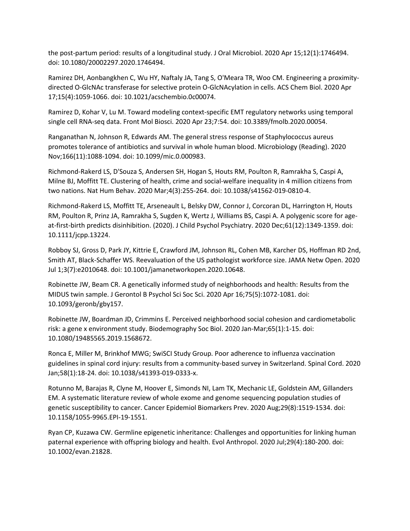the post-partum period: results of a longitudinal study. J Oral Microbiol. 2020 Apr 15;12(1):1746494. doi: 10.1080/20002297.2020.1746494.

Ramirez DH, Aonbangkhen C, Wu HY, Naftaly JA, Tang S, O'Meara TR, Woo CM. Engineering a proximitydirected O-GlcNAc transferase for selective protein O-GlcNAcylation in cells. ACS Chem Biol. 2020 Apr 17;15(4):1059-1066. doi: 10.1021/acschembio.0c00074.

Ramirez D, Kohar V, Lu M. Toward modeling context-specific EMT regulatory networks using temporal single cell RNA-seq data. Front Mol Biosci. 2020 Apr 23;7:54. doi: 10.3389/fmolb.2020.00054.

Ranganathan N, Johnson R, Edwards AM. The general stress response of Staphylococcus aureus promotes tolerance of antibiotics and survival in whole human blood. Microbiology (Reading). 2020 Nov;166(11):1088-1094. doi: 10.1099/mic.0.000983.

Richmond-Rakerd LS, D'Souza S, Andersen SH, Hogan S, Houts RM, Poulton R, Ramrakha S, Caspi A, Milne BJ, Moffitt TE. Clustering of health, crime and social-welfare inequality in 4 million citizens from two nations. Nat Hum Behav. 2020 Mar;4(3):255-264. doi: 10.1038/s41562-019-0810-4.

Richmond-Rakerd LS, Moffitt TE, Arseneault L, Belsky DW, Connor J, Corcoran DL, Harrington H, Houts RM, Poulton R, Prinz JA, Ramrakha S, Sugden K, Wertz J, Williams BS, Caspi A. A polygenic score for ageat-first-birth predicts disinhibition. (2020). J Child Psychol Psychiatry. 2020 Dec;61(12):1349-1359. doi: 10.1111/jcpp.13224.

Robboy SJ, Gross D, Park JY, Kittrie E, Crawford JM, Johnson RL, Cohen MB, Karcher DS, Hoffman RD 2nd, Smith AT, Black-Schaffer WS. Reevaluation of the US pathologist workforce size. JAMA Netw Open. 2020 Jul 1;3(7):e2010648. doi: 10.1001/jamanetworkopen.2020.10648.

Robinette JW, Beam CR. A genetically informed study of neighborhoods and health: Results from the MIDUS twin sample. J Gerontol B Psychol Sci Soc Sci. 2020 Apr 16;75(5):1072-1081. doi: 10.1093/geronb/gby157.

Robinette JW, Boardman JD, Crimmins E. Perceived neighborhood social cohesion and cardiometabolic risk: a gene x environment study. Biodemography Soc Biol. 2020 Jan-Mar;65(1):1-15. doi: 10.1080/19485565.2019.1568672.

Ronca E, Miller M, Brinkhof MWG; SwiSCI Study Group. Poor adherence to influenza vaccination guidelines in spinal cord injury: results from a community-based survey in Switzerland. Spinal Cord. 2020 Jan;58(1):18-24. doi: 10.1038/s41393-019-0333-x.

Rotunno M, Barajas R, Clyne M, Hoover E, Simonds NI, Lam TK, Mechanic LE, Goldstein AM, Gillanders EM. A systematic literature review of whole exome and genome sequencing population studies of genetic susceptibility to cancer. Cancer Epidemiol Biomarkers Prev. 2020 Aug;29(8):1519-1534. doi: 10.1158/1055-9965.EPI-19-1551.

Ryan CP, Kuzawa CW. Germline epigenetic inheritance: Challenges and opportunities for linking human paternal experience with offspring biology and health. Evol Anthropol. 2020 Jul;29(4):180-200. doi: 10.1002/evan.21828.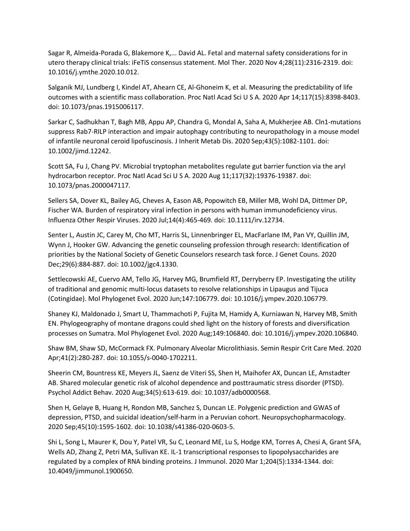Sagar R, Almeida-Porada G, Blakemore K,... David AL. Fetal and maternal safety considerations for in utero therapy clinical trials: iFeTiS consensus statement. Mol Ther. 2020 Nov 4;28(11):2316-2319. doi: 10.1016/j.ymthe.2020.10.012.

Salganik MJ, Lundberg I, Kindel AT, Ahearn CE, Al-Ghoneim K, et al. Measuring the predictability of life outcomes with a scientific mass collaboration. Proc Natl Acad Sci U S A. 2020 Apr 14;117(15):8398-8403. doi: 10.1073/pnas.1915006117.

Sarkar C, Sadhukhan T, Bagh MB, Appu AP, Chandra G, Mondal A, Saha A, Mukherjee AB. Cln1-mutations suppress Rab7-RILP interaction and impair autophagy contributing to neuropathology in a mouse model of infantile neuronal ceroid lipofuscinosis. J Inherit Metab Dis. 2020 Sep;43(5):1082-1101. doi: 10.1002/jimd.12242.

Scott SA, Fu J, Chang PV. Microbial tryptophan metabolites regulate gut barrier function via the aryl hydrocarbon receptor. Proc Natl Acad Sci U S A. 2020 Aug 11;117(32):19376-19387. doi: 10.1073/pnas.2000047117.

Sellers SA, Dover KL, Bailey AG, Cheves A, Eason AB, Popowitch EB, Miller MB, Wohl DA, Dittmer DP, Fischer WA. Burden of respiratory viral infection in persons with human immunodeficiency virus. Influenza Other Respir Viruses. 2020 Jul;14(4):465-469. doi: 10.1111/irv.12734.

Senter L, Austin JC, Carey M, Cho MT, Harris SL, Linnenbringer EL, MacFarlane IM, Pan VY, Quillin JM, Wynn J, Hooker GW. Advancing the genetic counseling profession through research: Identification of priorities by the National Society of Genetic Counselors research task force. J Genet Couns. 2020 Dec;29(6):884-887. doi: 10.1002/jgc4.1330.

Settlecowski AE, Cuervo AM, Tello JG, Harvey MG, Brumfield RT, Derryberry EP. Investigating the utility of traditional and genomic multi-locus datasets to resolve relationships in Lipaugus and Tijuca (Cotingidae). Mol Phylogenet Evol. 2020 Jun;147:106779. doi: 10.1016/j.ympev.2020.106779.

Shaney KJ, Maldonado J, Smart U, Thammachoti P, Fujita M, Hamidy A, Kurniawan N, Harvey MB, Smith EN. Phylogeography of montane dragons could shed light on the history of forests and diversification processes on Sumatra. Mol Phylogenet Evol. 2020 Aug;149:106840. doi: 10.1016/j.ympev.2020.106840.

Shaw BM, Shaw SD, McCormack FX. Pulmonary Alveolar Microlithiasis. Semin Respir Crit Care Med. 2020 Apr;41(2):280-287. doi: 10.1055/s-0040-1702211.

Sheerin CM, Bountress KE, Meyers JL, Saenz de Viteri SS, Shen H, Maihofer AX, Duncan LE, Amstadter AB. Shared molecular genetic risk of alcohol dependence and posttraumatic stress disorder (PTSD). Psychol Addict Behav. 2020 Aug;34(5):613-619. doi: 10.1037/adb0000568.

Shen H, Gelaye B, Huang H, Rondon MB, Sanchez S, Duncan LE. Polygenic prediction and GWAS of depression, PTSD, and suicidal ideation/self-harm in a Peruvian cohort. Neuropsychopharmacology. 2020 Sep;45(10):1595-1602. doi: 10.1038/s41386-020-0603-5.

Shi L, Song L, Maurer K, Dou Y, Patel VR, Su C, Leonard ME, Lu S, Hodge KM, Torres A, Chesi A, Grant SFA, Wells AD, Zhang Z, Petri MA, Sullivan KE. IL-1 transcriptional responses to lipopolysaccharides are regulated by a complex of RNA binding proteins. J Immunol. 2020 Mar 1;204(5):1334-1344. doi: 10.4049/jimmunol.1900650.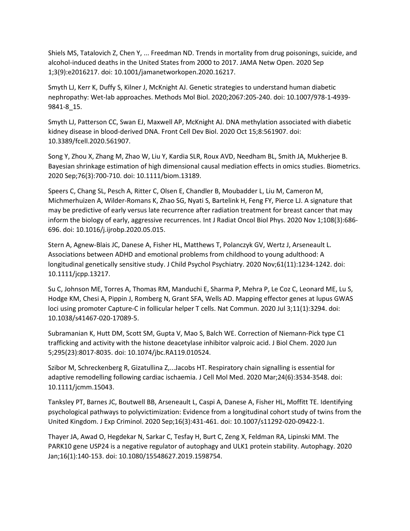Shiels MS, Tatalovich Z, Chen Y, ... Freedman ND. Trends in mortality from drug poisonings, suicide, and alcohol-induced deaths in the United States from 2000 to 2017. JAMA Netw Open. 2020 Sep 1;3(9):e2016217. doi: 10.1001/jamanetworkopen.2020.16217.

Smyth LJ, Kerr K, Duffy S, Kilner J, McKnight AJ. Genetic strategies to understand human diabetic nephropathy: Wet-lab approaches. Methods Mol Biol. 2020;2067:205-240. doi: 10.1007/978-1-4939- 9841-8\_15.

Smyth LJ, Patterson CC, Swan EJ, Maxwell AP, McKnight AJ. DNA methylation associated with diabetic kidney disease in blood-derived DNA. Front Cell Dev Biol. 2020 Oct 15;8:561907. doi: 10.3389/fcell.2020.561907.

Song Y, Zhou X, Zhang M, Zhao W, Liu Y, Kardia SLR, Roux AVD, Needham BL, Smith JA, Mukherjee B. Bayesian shrinkage estimation of high dimensional causal mediation effects in omics studies. Biometrics. 2020 Sep;76(3):700-710. doi: 10.1111/biom.13189.

Speers C, Chang SL, Pesch A, Ritter C, Olsen E, Chandler B, Moubadder L, Liu M, Cameron M, Michmerhuizen A, Wilder-Romans K, Zhao SG, Nyati S, Bartelink H, Feng FY, Pierce LJ. A signature that may be predictive of early versus late recurrence after radiation treatment for breast cancer that may inform the biology of early, aggressive recurrences. Int J Radiat Oncol Biol Phys. 2020 Nov 1;108(3):686- 696. doi: 10.1016/j.ijrobp.2020.05.015.

Stern A, Agnew-Blais JC, Danese A, Fisher HL, Matthews T, Polanczyk GV, Wertz J, Arseneault L. Associations between ADHD and emotional problems from childhood to young adulthood: A longitudinal genetically sensitive study. J Child Psychol Psychiatry. 2020 Nov;61(11):1234-1242. doi: 10.1111/jcpp.13217.

Su C, Johnson ME, Torres A, Thomas RM, Manduchi E, Sharma P, Mehra P, Le Coz C, Leonard ME, Lu S, Hodge KM, Chesi A, Pippin J, Romberg N, Grant SFA, Wells AD. Mapping effector genes at lupus GWAS loci using promoter Capture-C in follicular helper T cells. Nat Commun. 2020 Jul 3;11(1):3294. doi: 10.1038/s41467-020-17089-5.

Subramanian K, Hutt DM, Scott SM, Gupta V, Mao S, Balch WE. Correction of Niemann-Pick type C1 trafficking and activity with the histone deacetylase inhibitor valproic acid. J Biol Chem. 2020 Jun 5;295(23):8017-8035. doi: 10.1074/jbc.RA119.010524.

Szibor M, Schreckenberg R, Gizatullina Z,...Jacobs HT. Respiratory chain signalling is essential for adaptive remodelling following cardiac ischaemia. J Cell Mol Med. 2020 Mar;24(6):3534-3548. doi: 10.1111/jcmm.15043.

Tanksley PT, Barnes JC, Boutwell BB, Arseneault L, Caspi A, Danese A, Fisher HL, Moffitt TE. Identifying psychological pathways to polyvictimization: Evidence from a longitudinal cohort study of twins from the United Kingdom. J Exp Criminol. 2020 Sep;16(3):431-461. doi: 10.1007/s11292-020-09422-1.

Thayer JA, Awad O, Hegdekar N, Sarkar C, Tesfay H, Burt C, Zeng X, Feldman RA, Lipinski MM. The PARK10 gene USP24 is a negative regulator of autophagy and ULK1 protein stability. Autophagy. 2020 Jan;16(1):140-153. doi: 10.1080/15548627.2019.1598754.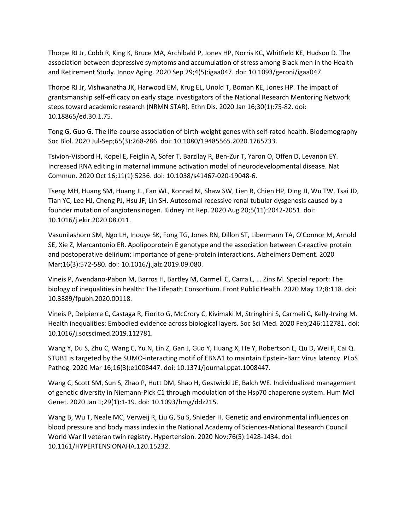Thorpe RJ Jr, Cobb R, King K, Bruce MA, Archibald P, Jones HP, Norris KC, Whitfield KE, Hudson D. The association between depressive symptoms and accumulation of stress among Black men in the Health and Retirement Study. Innov Aging. 2020 Sep 29;4(5):igaa047. doi: 10.1093/geroni/igaa047.

Thorpe RJ Jr, Vishwanatha JK, Harwood EM, Krug EL, Unold T, Boman KE, Jones HP. The impact of grantsmanship self-efficacy on early stage investigators of the National Research Mentoring Network steps toward academic research (NRMN STAR). Ethn Dis. 2020 Jan 16;30(1):75-82. doi: 10.18865/ed.30.1.75.

Tong G, Guo G. The life-course association of birth-weight genes with self-rated health. Biodemography Soc Biol. 2020 Jul-Sep;65(3):268-286. doi: 10.1080/19485565.2020.1765733.

Tsivion-Visbord H, Kopel E, Feiglin A, Sofer T, Barzilay R, Ben-Zur T, Yaron O, Offen D, Levanon EY. Increased RNA editing in maternal immune activation model of neurodevelopmental disease. Nat Commun. 2020 Oct 16;11(1):5236. doi: 10.1038/s41467-020-19048-6.

Tseng MH, Huang SM, Huang JL, Fan WL, Konrad M, Shaw SW, Lien R, Chien HP, Ding JJ, Wu TW, Tsai JD, Tian YC, Lee HJ, Cheng PJ, Hsu JF, Lin SH. Autosomal recessive renal tubular dysgenesis caused by a founder mutation of angiotensinogen. Kidney Int Rep. 2020 Aug 20;5(11):2042-2051. doi: 10.1016/j.ekir.2020.08.011.

Vasunilashorn SM, Ngo LH, Inouye SK, Fong TG, Jones RN, Dillon ST, Libermann TA, O'Connor M, Arnold SE, Xie Z, Marcantonio ER. Apolipoprotein E genotype and the association between C-reactive protein and postoperative delirium: Importance of gene-protein interactions. Alzheimers Dement. 2020 Mar;16(3):572-580. doi: 10.1016/j.jalz.2019.09.080.

Vineis P, Avendano-Pabon M, Barros H, Bartley M, Carmeli C, Carra L, … Zins M. Special report: The biology of inequalities in health: The Lifepath Consortium. Front Public Health. 2020 May 12;8:118. doi: 10.3389/fpubh.2020.00118.

Vineis P, Delpierre C, Castaga R, Fiorito G, McCrory C, Kivimaki M, Stringhini S, Carmeli C, Kelly-Irving M. Health inequalities: Embodied evidence across biological layers. Soc Sci Med. 2020 Feb;246:112781. doi: 10.1016/j.socscimed.2019.112781.

Wang Y, Du S, Zhu C, Wang C, Yu N, Lin Z, Gan J, Guo Y, Huang X, He Y, Robertson E, Qu D, Wei F, Cai Q. STUB1 is targeted by the SUMO-interacting motif of EBNA1 to maintain Epstein-Barr Virus latency. PLoS Pathog. 2020 Mar 16;16(3):e1008447. doi: 10.1371/journal.ppat.1008447.

Wang C, Scott SM, Sun S, Zhao P, Hutt DM, Shao H, Gestwicki JE, Balch WE. Individualized management of genetic diversity in Niemann-Pick C1 through modulation of the Hsp70 chaperone system. Hum Mol Genet. 2020 Jan 1;29(1):1-19. doi: 10.1093/hmg/ddz215.

Wang B, Wu T, Neale MC, Verweij R, Liu G, Su S, Snieder H. Genetic and environmental influences on blood pressure and body mass index in the National Academy of Sciences-National Research Council World War II veteran twin registry. Hypertension. 2020 Nov;76(5):1428-1434. doi: 10.1161/HYPERTENSIONAHA.120.15232.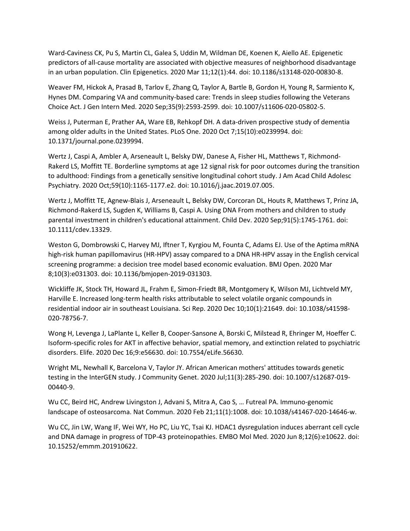Ward-Caviness CK, Pu S, Martin CL, Galea S, Uddin M, Wildman DE, Koenen K, Aiello AE. Epigenetic predictors of all-cause mortality are associated with objective measures of neighborhood disadvantage in an urban population. Clin Epigenetics. 2020 Mar 11;12(1):44. doi: 10.1186/s13148-020-00830-8.

Weaver FM, Hickok A, Prasad B, Tarlov E, Zhang Q, Taylor A, Bartle B, Gordon H, Young R, Sarmiento K, Hynes DM. Comparing VA and community-based care: Trends in sleep studies following the Veterans Choice Act. J Gen Intern Med. 2020 Sep;35(9):2593-2599. doi: 10.1007/s11606-020-05802-5.

Weiss J, Puterman E, Prather AA, Ware EB, Rehkopf DH. A data-driven prospective study of dementia among older adults in the United States. PLoS One. 2020 Oct 7;15(10):e0239994. doi: 10.1371/journal.pone.0239994.

Wertz J, Caspi A, Ambler A, Arseneault L, Belsky DW, Danese A, Fisher HL, Matthews T, Richmond-Rakerd LS, Moffitt TE. Borderline symptoms at age 12 signal risk for poor outcomes during the transition to adulthood: Findings from a genetically sensitive longitudinal cohort study. J Am Acad Child Adolesc Psychiatry. 2020 Oct;59(10):1165-1177.e2. doi: 10.1016/j.jaac.2019.07.005.

Wertz J, Moffitt TE, Agnew-Blais J, Arseneault L, Belsky DW, Corcoran DL, Houts R, Matthews T, Prinz JA, Richmond-Rakerd LS, Sugden K, Williams B, Caspi A. Using DNA From mothers and children to study parental investment in children's educational attainment. Child Dev. 2020 Sep;91(5):1745-1761. doi: 10.1111/cdev.13329.

Weston G, Dombrowski C, Harvey MJ, Iftner T, Kyrgiou M, Founta C, Adams EJ. Use of the Aptima mRNA high-risk human papillomavirus (HR-HPV) assay compared to a DNA HR-HPV assay in the English cervical screening programme: a decision tree model based economic evaluation. BMJ Open. 2020 Mar 8;10(3):e031303. doi: 10.1136/bmjopen-2019-031303.

Wickliffe JK, Stock TH, Howard JL, Frahm E, Simon-Friedt BR, Montgomery K, Wilson MJ, Lichtveld MY, Harville E. Increased long-term health risks attributable to select volatile organic compounds in residential indoor air in southeast Louisiana. Sci Rep. 2020 Dec 10;10(1):21649. doi: 10.1038/s41598- 020-78756-7.

Wong H, Levenga J, LaPlante L, Keller B, Cooper-Sansone A, Borski C, Milstead R, Ehringer M, Hoeffer C. Isoform-specific roles for AKT in affective behavior, spatial memory, and extinction related to psychiatric disorders. Elife. 2020 Dec 16;9:e56630. doi: 10.7554/eLife.56630.

Wright ML, Newhall K, Barcelona V, Taylor JY. African American mothers' attitudes towards genetic testing in the InterGEN study. J Community Genet. 2020 Jul;11(3):285-290. doi: 10.1007/s12687-019- 00440-9.

Wu CC, Beird HC, Andrew Livingston J, Advani S, Mitra A, Cao S, … Futreal PA. Immuno-genomic landscape of osteosarcoma. Nat Commun. 2020 Feb 21;11(1):1008. doi: 10.1038/s41467-020-14646-w.

Wu CC, Jin LW, Wang IF, Wei WY, Ho PC, Liu YC, Tsai KJ. HDAC1 dysregulation induces aberrant cell cycle and DNA damage in progress of TDP-43 proteinopathies. EMBO Mol Med. 2020 Jun 8;12(6):e10622. doi: 10.15252/emmm.201910622.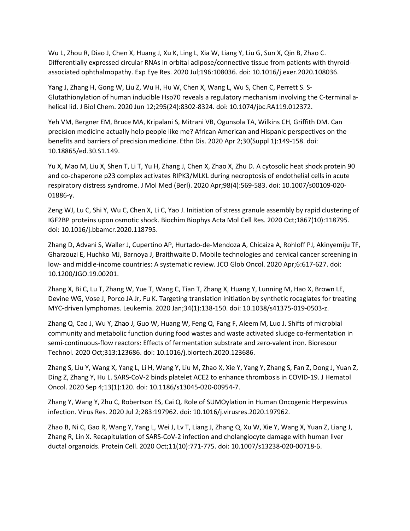Wu L, Zhou R, Diao J, Chen X, Huang J, Xu K, Ling L, Xia W, Liang Y, Liu G, Sun X, Qin B, Zhao C. Differentially expressed circular RNAs in orbital adipose/connective tissue from patients with thyroidassociated ophthalmopathy. Exp Eye Res. 2020 Jul;196:108036. doi: 10.1016/j.exer.2020.108036.

Yang J, Zhang H, Gong W, Liu Z, Wu H, Hu W, Chen X, Wang L, Wu S, Chen C, Perrett S. S-Glutathionylation of human inducible Hsp70 reveals a regulatory mechanism involving the C-terminal ahelical lid. J Biol Chem. 2020 Jun 12;295(24):8302-8324. doi: 10.1074/jbc.RA119.012372.

Yeh VM, Bergner EM, Bruce MA, Kripalani S, Mitrani VB, Ogunsola TA, Wilkins CH, Griffith DM. Can precision medicine actually help people like me? African American and Hispanic perspectives on the benefits and barriers of precision medicine. Ethn Dis. 2020 Apr 2;30(Suppl 1):149-158. doi: 10.18865/ed.30.S1.149.

Yu X, Mao M, Liu X, Shen T, Li T, Yu H, Zhang J, Chen X, Zhao X, Zhu D. A cytosolic heat shock protein 90 and co-chaperone p23 complex activates RIPK3/MLKL during necroptosis of endothelial cells in acute respiratory distress syndrome. J Mol Med (Berl). 2020 Apr;98(4):569-583. doi: 10.1007/s00109-020- 01886-y.

Zeng WJ, Lu C, Shi Y, Wu C, Chen X, Li C, Yao J. Initiation of stress granule assembly by rapid clustering of IGF2BP proteins upon osmotic shock. Biochim Biophys Acta Mol Cell Res. 2020 Oct;1867(10):118795. doi: 10.1016/j.bbamcr.2020.118795.

Zhang D, Advani S, Waller J, Cupertino AP, Hurtado-de-Mendoza A, Chicaiza A, Rohloff PJ, Akinyemiju TF, Gharzouzi E, Huchko MJ, Barnoya J, Braithwaite D. Mobile technologies and cervical cancer screening in low- and middle-income countries: A systematic review. JCO Glob Oncol. 2020 Apr;6:617-627. doi: 10.1200/JGO.19.00201.

Zhang X, Bi C, Lu T, Zhang W, Yue T, Wang C, Tian T, Zhang X, Huang Y, Lunning M, Hao X, Brown LE, Devine WG, Vose J, Porco JA Jr, Fu K. Targeting translation initiation by synthetic rocaglates for treating MYC-driven lymphomas. Leukemia. 2020 Jan;34(1):138-150. doi: 10.1038/s41375-019-0503-z.

Zhang Q, Cao J, Wu Y, Zhao J, Guo W, Huang W, Feng Q, Fang F, Aleem M, Luo J. Shifts of microbial community and metabolic function during food wastes and waste activated sludge co-fermentation in semi-continuous-flow reactors: Effects of fermentation substrate and zero-valent iron. Bioresour Technol. 2020 Oct;313:123686. doi: 10.1016/j.biortech.2020.123686.

Zhang S, Liu Y, Wang X, Yang L, Li H, Wang Y, Liu M, Zhao X, Xie Y, Yang Y, Zhang S, Fan Z, Dong J, Yuan Z, Ding Z, Zhang Y, Hu L. SARS-CoV-2 binds platelet ACE2 to enhance thrombosis in COVID-19. J Hematol Oncol. 2020 Sep 4;13(1):120. doi: 10.1186/s13045-020-00954-7.

Zhang Y, Wang Y, Zhu C, Robertson ES, Cai Q. Role of SUMOylation in Human Oncogenic Herpesvirus infection. Virus Res. 2020 Jul 2;283:197962. doi: 10.1016/j.virusres.2020.197962.

Zhao B, Ni C, Gao R, Wang Y, Yang L, Wei J, Lv T, Liang J, Zhang Q, Xu W, Xie Y, Wang X, Yuan Z, Liang J, Zhang R, Lin X. Recapitulation of SARS-CoV-2 infection and cholangiocyte damage with human liver ductal organoids. Protein Cell. 2020 Oct;11(10):771-775. doi: 10.1007/s13238-020-00718-6.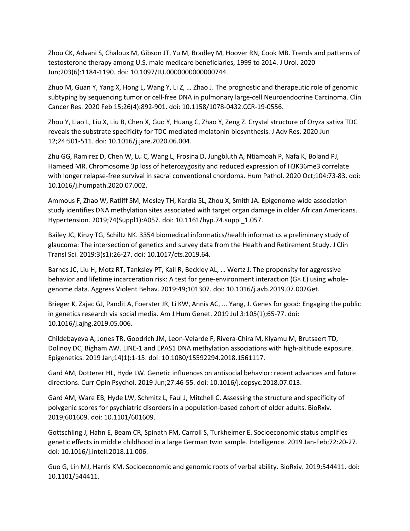Zhou CK, Advani S, Chaloux M, Gibson JT, Yu M, Bradley M, Hoover RN, Cook MB. Trends and patterns of testosterone therapy among U.S. male medicare beneficiaries, 1999 to 2014. J Urol. 2020 Jun;203(6):1184-1190. doi: 10.1097/JU.0000000000000744.

Zhuo M, Guan Y, Yang X, Hong L, Wang Y, Li Z, … Zhao J. The prognostic and therapeutic role of genomic subtyping by sequencing tumor or cell-free DNA in pulmonary large-cell Neuroendocrine Carcinoma. Clin Cancer Res. 2020 Feb 15;26(4):892-901. doi: 10.1158/1078-0432.CCR-19-0556.

Zhou Y, Liao L, Liu X, Liu B, Chen X, Guo Y, Huang C, Zhao Y, Zeng Z. Crystal structure of Oryza sativa TDC reveals the substrate specificity for TDC-mediated melatonin biosynthesis. J Adv Res. 2020 Jun 12;24:501-511. doi: 10.1016/j.jare.2020.06.004.

Zhu GG, Ramirez D, Chen W, Lu C, Wang L, Frosina D, Jungbluth A, Ntiamoah P, Nafa K, Boland PJ, Hameed MR. Chromosome 3p loss of heterozygosity and reduced expression of H3K36me3 correlate with longer relapse-free survival in sacral conventional chordoma. Hum Pathol. 2020 Oct;104:73-83. doi: 10.1016/j.humpath.2020.07.002.

Ammous F, Zhao W, Ratliff SM, Mosley TH, Kardia SL, Zhou X, Smith JA. Epigenome-wide association study identifies DNA methylation sites associated with target organ damage in older African Americans. Hypertension. 2019;74(Suppl1):A057. doi: 10.1161/hyp.74.suppl\_1.057.

Bailey JC, Kinzy TG, Schiltz NK. 3354 biomedical informatics/health informatics a preliminary study of glaucoma: The intersection of genetics and survey data from the Health and Retirement Study. J Clin Transl Sci. 2019:3(s1):26-27. doi: 10.1017/cts.2019.64.

Barnes JC, Liu H, Motz RT, Tanksley PT, Kail R, Beckley AL, … Wertz J. The propensity for aggressive behavior and lifetime incarceration risk: A test for gene-environment interaction (G× E) using wholegenome data. Aggress Violent Behav. 2019:49;101307. doi: 10.1016/j.avb.2019.07.002Get.

Brieger K, Zajac GJ, Pandit A, Foerster JR, Li KW, Annis AC, ... Yang, J. Genes for good: Engaging the public in genetics research via social media. Am J Hum Genet. 2019 Jul 3:105(1);65-77. doi: 10.1016/j.ajhg.2019.05.006.

Childebayeva A, Jones TR, Goodrich JM, Leon-Velarde F, Rivera-Chira M, Kiyamu M, Brutsaert TD, Dolinoy DC, Bigham AW. LINE-1 and EPAS1 DNA methylation associations with high-altitude exposure. Epigenetics. 2019 Jan;14(1):1-15. doi: 10.1080/15592294.2018.1561117.

Gard AM, Dotterer HL, Hyde LW. Genetic influences on antisocial behavior: recent advances and future directions. Curr Opin Psychol. 2019 Jun;27:46-55. doi: 10.1016/j.copsyc.2018.07.013.

Gard AM, Ware EB, Hyde LW, Schmitz L, Faul J, Mitchell C. Assessing the structure and specificity of polygenic scores for psychiatric disorders in a population-based cohort of older adults. BioRxiv. 2019;601609. doi: 10.1101/601609.

Gottschling J, Hahn E, Beam CR, Spinath FM, Carroll S, Turkheimer E. Socioeconomic status amplifies genetic effects in middle childhood in a large German twin sample. Intelligence. 2019 Jan-Feb;72:20-27. doi: 10.1016/j.intell.2018.11.006.

Guo G, Lin MJ, Harris KM. Socioeconomic and genomic roots of verbal ability. BioRxiv. 2019;544411. doi: 10.1101/544411.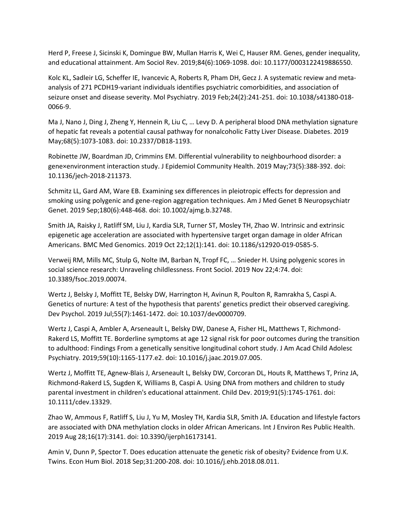Herd P, Freese J, Sicinski K, Domingue BW, Mullan Harris K, Wei C, Hauser RM. Genes, gender inequality, and educational attainment. Am Sociol Rev. 2019;84(6):1069-1098. doi: 10.1177/0003122419886550.

Kolc KL, Sadleir LG, Scheffer IE, Ivancevic A, Roberts R, Pham DH, Gecz J. A systematic review and metaanalysis of 271 PCDH19-variant individuals identifies psychiatric comorbidities, and association of seizure onset and disease severity. Mol Psychiatry. 2019 Feb;24(2):241-251. doi: 10.1038/s41380-018- 0066-9.

Ma J, Nano J, Ding J, Zheng Y, Hennein R, Liu C, … Levy D. A peripheral blood DNA methylation signature of hepatic fat reveals a potential causal pathway for nonalcoholic Fatty Liver Disease. Diabetes. 2019 May;68(5):1073-1083. doi: 10.2337/DB18-1193.

Robinette JW, Boardman JD, Crimmins EM. Differential vulnerability to neighbourhood disorder: a gene×environment interaction study. J Epidemiol Community Health. 2019 May;73(5):388-392. doi: 10.1136/jech-2018-211373.

Schmitz LL, Gard AM, Ware EB. Examining sex differences in pleiotropic effects for depression and smoking using polygenic and gene-region aggregation techniques. Am J Med Genet B Neuropsychiatr Genet. 2019 Sep;180(6):448-468. doi: 10.1002/ajmg.b.32748.

Smith JA, Raisky J, Ratliff SM, Liu J, Kardia SLR, Turner ST, Mosley TH, Zhao W. Intrinsic and extrinsic epigenetic age acceleration are associated with hypertensive target organ damage in older African Americans. BMC Med Genomics. 2019 Oct 22;12(1):141. doi: 10.1186/s12920-019-0585-5.

Verweij RM, Mills MC, Stulp G, Nolte IM, Barban N, Tropf FC, … Snieder H. Using polygenic scores in social science research: Unraveling childlessness. Front Sociol. 2019 Nov 22;4:74. doi: 10.3389/fsoc.2019.00074.

Wertz J, Belsky J, Moffitt TE, Belsky DW, Harrington H, Avinun R, Poulton R, Ramrakha S, Caspi A. Genetics of nurture: A test of the hypothesis that parents' genetics predict their observed caregiving. Dev Psychol. 2019 Jul;55(7):1461-1472. doi: 10.1037/dev0000709.

Wertz J, Caspi A, Ambler A, Arseneault L, Belsky DW, Danese A, Fisher HL, Matthews T, Richmond-Rakerd LS, Moffitt TE. Borderline symptoms at age 12 signal risk for poor outcomes during the transition to adulthood: Findings From a genetically sensitive longitudinal cohort study. J Am Acad Child Adolesc Psychiatry. 2019;59(10):1165-1177.e2. doi: 10.1016/j.jaac.2019.07.005.

Wertz J, Moffitt TE, Agnew-Blais J, Arseneault L, Belsky DW, Corcoran DL, Houts R, Matthews T, Prinz JA, Richmond-Rakerd LS, Sugden K, Williams B, Caspi A. Using DNA from mothers and children to study parental investment in children's educational attainment. Child Dev. 2019;91(5):1745-1761. doi: 10.1111/cdev.13329.

Zhao W, Ammous F, Ratliff S, Liu J, Yu M, Mosley TH, Kardia SLR, Smith JA. Education and lifestyle factors are associated with DNA methylation clocks in older African Americans. Int J Environ Res Public Health. 2019 Aug 28;16(17):3141. doi: 10.3390/ijerph16173141.

Amin V, Dunn P, Spector T. Does education attenuate the genetic risk of obesity? Evidence from U.K. Twins. Econ Hum Biol. 2018 Sep;31:200-208. doi: 10.1016/j.ehb.2018.08.011.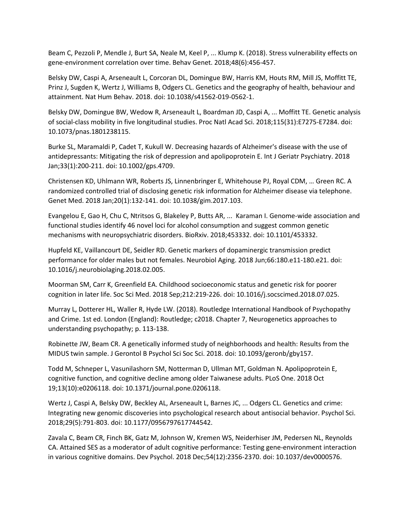Beam C, Pezzoli P, Mendle J, Burt SA, Neale M, Keel P, ... Klump K. (2018). Stress vulnerability effects on gene-environment correlation over time. Behav Genet. 2018;48(6):456-457.

Belsky DW, Caspi A, Arseneault L, Corcoran DL, Domingue BW, Harris KM, Houts RM, Mill JS, Moffitt TE, Prinz J, Sugden K, Wertz J, Williams B, Odgers CL. Genetics and the geography of health, behaviour and attainment. Nat Hum Behav. 2018. doi: 10.1038/s41562-019-0562-1.

Belsky DW, Domingue BW, Wedow R, Arseneault L, Boardman JD, Caspi A, ... Moffitt TE. Genetic analysis of social-class mobility in five longitudinal studies. Proc Natl Acad Sci. 2018;115(31):E7275-E7284. doi: 10.1073/pnas.1801238115.

Burke SL, Maramaldi P, Cadet T, Kukull W. Decreasing hazards of Alzheimer's disease with the use of antidepressants: Mitigating the risk of depression and apolipoprotein E. Int J Geriatr Psychiatry. 2018 Jan;33(1):200-211. doi: 10.1002/gps.4709.

Christensen KD, Uhlmann WR, Roberts JS, Linnenbringer E, Whitehouse PJ, Royal CDM, … Green RC. A randomized controlled trial of disclosing genetic risk information for Alzheimer disease via telephone. Genet Med. 2018 Jan;20(1):132-141. doi: 10.1038/gim.2017.103.

Evangelou E, Gao H, Chu C, Ntritsos G, Blakeley P, Butts AR, ... Karaman I. Genome-wide association and functional studies identify 46 novel loci for alcohol consumption and suggest common genetic mechanisms with neuropsychiatric disorders. BioRxiv. 2018;453332. doi: 10.1101/453332.

Hupfeld KE, Vaillancourt DE, Seidler RD. Genetic markers of dopaminergic transmission predict performance for older males but not females. Neurobiol Aging. 2018 Jun;66:180.e11-180.e21. doi: 10.1016/j.neurobiolaging.2018.02.005.

Moorman SM, Carr K, Greenfield EA. Childhood socioeconomic status and genetic risk for poorer cognition in later life. Soc Sci Med. 2018 Sep;212:219-226. doi: 10.1016/j.socscimed.2018.07.025.

Murray L, Dotterer HL, Waller R, Hyde LW. (2018). Routledge International Handbook of Psychopathy and Crime. 1st ed. London (England): Routledge; c2018. Chapter 7, Neurogenetics approaches to understanding psychopathy; p. 113-138.

Robinette JW, Beam CR. A genetically informed study of neighborhoods and health: Results from the MIDUS twin sample. J Gerontol B Psychol Sci Soc Sci. 2018. doi: 10.1093/geronb/gby157.

Todd M, Schneper L, Vasunilashorn SM, Notterman D, Ullman MT, Goldman N. Apolipoprotein E, cognitive function, and cognitive decline among older Taiwanese adults. PLoS One. 2018 Oct 19;13(10):e0206118. doi: 10.1371/journal.pone.0206118.

Wertz J, Caspi A, Belsky DW, Beckley AL, Arseneault L, Barnes JC, ... Odgers CL. Genetics and crime: Integrating new genomic discoveries into psychological research about antisocial behavior. Psychol Sci. 2018;29(5):791-803. doi: 10.1177/0956797617744542.

Zavala C, Beam CR, Finch BK, Gatz M, Johnson W, Kremen WS, Neiderhiser JM, Pedersen NL, Reynolds CA. Attained SES as a moderator of adult cognitive performance: Testing gene-environment interaction in various cognitive domains. Dev Psychol. 2018 Dec;54(12):2356-2370. doi: 10.1037/dev0000576.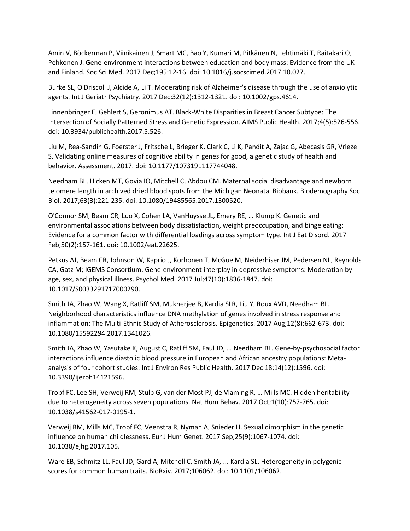Amin V, Böckerman P, Viinikainen J, Smart MC, Bao Y, Kumari M, Pitkänen N, Lehtimäki T, Raitakari O, Pehkonen J. Gene-environment interactions between education and body mass: Evidence from the UK and Finland. Soc Sci Med. 2017 Dec;195:12-16. doi: 10.1016/j.socscimed.2017.10.027.

Burke SL, O'Driscoll J, Alcide A, Li T. Moderating risk of Alzheimer's disease through the use of anxiolytic agents. Int J Geriatr Psychiatry. 2017 Dec;32(12):1312-1321. doi: 10.1002/gps.4614.

Linnenbringer E, Gehlert S, Geronimus AT. Black-White Disparities in Breast Cancer Subtype: The Intersection of Socially Patterned Stress and Genetic Expression. AIMS Public Health. 2017;4(5):526-556. doi: 10.3934/publichealth.2017.5.526.

Liu M, Rea-Sandin G, Foerster J, Fritsche L, Brieger K, Clark C, Li K, Pandit A, Zajac G, Abecasis GR, Vrieze S. Validating online measures of cognitive ability in genes for good, a genetic study of health and behavior. Assessment. 2017. doi: 10.1177/1073191117744048.

Needham BL, Hicken MT, Govia IO, Mitchell C, Abdou CM. Maternal social disadvantage and newborn telomere length in archived dried blood spots from the Michigan Neonatal Biobank. Biodemography Soc Biol. 2017;63(3):221-235. doi: 10.1080/19485565.2017.1300520.

O'Connor SM, Beam CR, Luo X, Cohen LA, VanHuysse JL, Emery RE, … Klump K. Genetic and environmental associations between body dissatisfaction, weight preoccupation, and binge eating: Evidence for a common factor with differential loadings across symptom type. Int J Eat Disord. 2017 Feb;50(2):157-161. doi: 10.1002/eat.22625.

Petkus AJ, Beam CR, Johnson W, Kaprio J, Korhonen T, McGue M, Neiderhiser JM, Pedersen NL, Reynolds CA, Gatz M; IGEMS Consortium. Gene-environment interplay in depressive symptoms: Moderation by age, sex, and physical illness. Psychol Med. 2017 Jul;47(10):1836-1847. doi: 10.1017/S0033291717000290.

Smith JA, Zhao W, Wang X, Ratliff SM, Mukherjee B, Kardia SLR, Liu Y, Roux AVD, Needham BL. Neighborhood characteristics influence DNA methylation of genes involved in stress response and inflammation: The Multi-Ethnic Study of Atherosclerosis. Epigenetics. 2017 Aug;12(8):662-673. doi: 10.1080/15592294.2017.1341026.

Smith JA, Zhao W, Yasutake K, August C, Ratliff SM, Faul JD, … Needham BL. Gene-by-psychosocial factor interactions influence diastolic blood pressure in European and African ancestry populations: Metaanalysis of four cohort studies. Int J Environ Res Public Health. 2017 Dec 18;14(12):1596. doi: 10.3390/ijerph14121596.

Tropf FC, Lee SH, Verweij RM, Stulp G, van der Most PJ, de Vlaming R, … Mills MC. Hidden heritability due to heterogeneity across seven populations. Nat Hum Behav. 2017 Oct;1(10):757-765. doi: 10.1038/s41562-017-0195-1.

Verweij RM, Mills MC, Tropf FC, Veenstra R, Nyman A, Snieder H. Sexual dimorphism in the genetic influence on human childlessness. Eur J Hum Genet. 2017 Sep;25(9):1067-1074. doi: 10.1038/ejhg.2017.105.

Ware EB, Schmitz LL, Faul JD, Gard A, Mitchell C, Smith JA, ... Kardia SL. Heterogeneity in polygenic scores for common human traits. BioRxiv. 2017;106062. doi: 10.1101/106062.